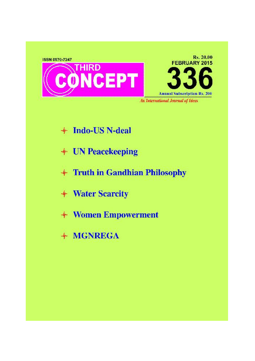

- + Indo-US N-deal
- + UN Peacekeeping
- + Truth in Gandhian Philosophy
- + Water Scarcity
- + Women Empowerment
- + MGNREGA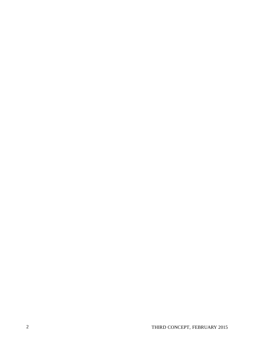THIRD CONCEPT, FEBRUARY 2015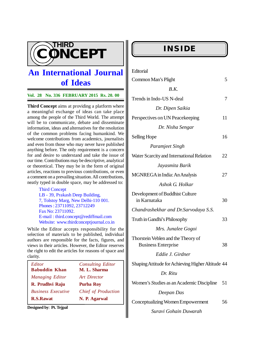

# **An International Journal of Ideas**

### **Vol. 28 No. 336 FEBRUARY 2015 Rs. 20. 00**

**Third Concept** aims at providing a platform where a meaningful exchange of ideas can take place among the people of the Third World. The attempt will be to communicate, debate and disseminate information, ideas and alternatives for the resolution of the common problems facing humankind. We welcome contributions from academics, journalists and even from those who may never have published anything before. The only requirement is a concern for and desire to understand and take the issue of our time. Contributions may be descriptive, analytical or theoretical. They may be in the form of original articles, reactions to previous contributions, or even a comment on a prevailing situation. All contributions, neatly typed in double space, may be addressed to:

> Third Concept LB - 39, Prakash Deep Building, 7, Tolstoy Marg, New Delhi-110 001. Phones : 23711092, 23712249 Fax No: 23711092. E-mail : third.concept@rediffmail.com Website: www.thirdconceptjournal.co.in

While the Editor accepts responsibility for the selection of materials to be published, individual authors are responsible for the facts, figures, and views in their articles. However, the Editor reserves the right to edit the articles for reasons of space and clarity.

| Editor                    | <b>Consulting Editor</b>   |
|---------------------------|----------------------------|
| <b>Babuddin Khan</b>      | M. L. Sharma               |
| <b>Managing Editor</b>    | Art Director               |
| R. Prudhvi Raju           | <b>Purba Roy</b>           |
| <b>Business Executive</b> | <b>Chief of Production</b> |
| <b>R.S.Rawat</b>          | N. P. Agarwal              |

**Designed by**: **Pt. Tejpal**

| Editorial                                                        |    |
|------------------------------------------------------------------|----|
| Common Man's Plight                                              | 5  |
| B.K.                                                             |    |
| Trends in Indo-US N-deal                                         | 7  |
| Dr. Dipen Saikia                                                 |    |
| Perspectives on UN Peacekeeping                                  | 11 |
| Dr. Nisha Sengar                                                 |    |
| Selling Hope                                                     | 16 |
| Paramjeet Singh                                                  |    |
| Water Scarcity and International Relation                        | 22 |
| Jayasmita Barik                                                  |    |
| MGNREGA in India: An Analysis                                    | 27 |
| Ashok G. Holkar                                                  |    |
| Development of Buddhist Culture<br>in Karnataka                  | 30 |
| Chandrashekhar and Dr.Sarvodaya S.S.                             |    |
| Truth in Gandhi's Philosophy                                     | 33 |
| Mrs. Junalee Gogoi                                               |    |
| Thorstein Veblen and the Theory of<br><b>Business Enterprise</b> | 38 |
| Eddie J. Girdner                                                 |    |
| Shaping Attitude for Achieving Higher Altitude 44                |    |
| Dr. Ritu                                                         |    |
| Women's Studies as an Academic Discipline                        | 51 |
| Deepan Das                                                       |    |
| Conceptualizing Women Empowerment                                | 56 |
| Suravi Gohain Duwarah                                            |    |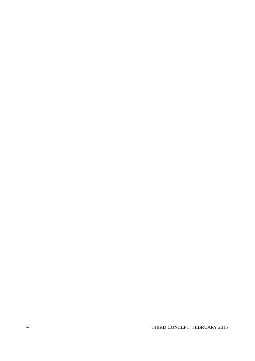THIRD CONCEPT, FEBRUARY 2015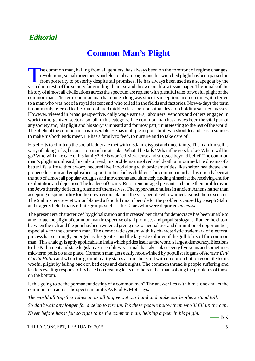# *Editorial*

# **Common Man's Plight**

The common man, hailing from all genders, has always been on the forefront of regime changes, revolutions, social movements and electoral campaigns and his wretched plight has been passed on from posterity to posterity des he common man, hailing from all genders, has always been on the forefront of regime changes, revolutions, social movements and electoral campaigns and his wretched plight has been passed on from posterity to posterity despite tall promises. He has always been used as a scapegoat by the history of almost all civilizations across the spectrum are replete with plentiful tales of woeful plight of the common man. The term common man has come a long way since its inception. In olden times, it referred to a man who was not of a royal descent and who toiled in the fields and factories. Now-a-days the term is commonly referred to the blue-collared middle class, pen-pushing, desk job holding salaried masses. However, viewed in broad perspective, daily wage earners, labourers, vendors and others engaged in work in unorganized sector also fall in this category. The common man has always been the vital part of any society and, his plight and his story is unheard and for most part, uninteresting to the rest of the world. The plight of the common man is miserable. He has multiple responsibilities to shoulder and least resources to make his both ends meet. He has a family to feed, to nurture and to take care of.

His efforts to climb up the social ladder are met with disdain, disgust and uncertainty. The man himself is wary of taking risks, because too much is at stake. What if he fails? What if he gets broke? Where will he go? Who will take care of his family? He is worried, sick, tense and stressed beyond belief. The common man's plight is unheard, his tale unread, his problems unsolved and death unmourned. He dreams of a better life, a life without worry, secured livelihood along with basic amenities like shelter, healthcare and proper education and employment opportunities for his children. The common man has historically been at the hub of almost all popular struggles and movements and ultimately finding himself at the receiving end for exploitation and dejection. The leaders of Czarist Russia encouraged peasants to blame their problems on the Jews thereby deflecting blame off themselves. The hyper-nationalists in ancient Athens rather than accepting responsibility for their own errors blamed the very people who warned against their excesses. The Stalinist era Soviet Union blamed a fanciful mix of people for the problems caused by Joseph Stalin and tragedy befell many ethnic groups such as the Tatars who were deported *en masse*.

The present era characterized by globalization and increased penchant for democracy has been unable to ameliorate the plight of common man irrespective of tall promises and populist slogans. Rather the chasm between the rich and the poor has been widened giving rise to inequalities and diminution of opportunities, especially for the common man. The democratic system with its characteristic trademark of electoral process has seemingly emerged as the greatest and the largest exploiter of the gullibility of the common man. This analogy is aptly applicable in India which prides itself as the world's largest democracy. Elections to the Parliament and state legislative assemblies is a ritual that takes place every five years and sometimes mid-term polls do take place. Common man gets easily hoodwinked by populist slogans of *Achche Din/ Garibi Hatao* and when the ground reality stares at him, he is left with no option but to reconcile to his woeful plight by falling back on bad days and dark nights. The common thread is people suffering and leaders evading responsibility based on creating fears of others rather than solving the problems of those on the bottom.

Is this going to be the permanent destiny of a common man? The answer lies with him alone and let the common men across the spectrum unite. As Paul R. Mott says:

 $-BK$ *The world all together relies on us all to give out our hand and make our brothers stand tall. So don't wait any longer for a celeb to rise up. It's these people below them who'll fill up the cup. Never before has it felt so right to be the common man, helping a peer in his plight.*

THIRD CONCEPT, FEBRUARY 2015 5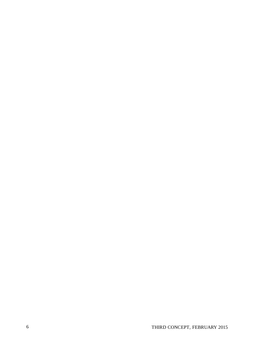THIRD CONCEPT, FEBRUARY 2015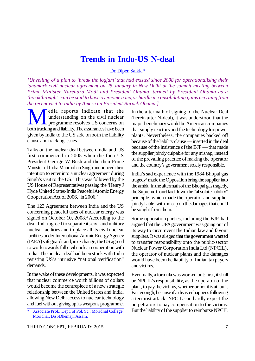# **Trends in Indo-US N-deal**

Dr. Dipen Saikia\*

*[Unveiling of a plan to 'break the logjam' that had existed since 2008 for operationalising their landmark civil nuclear agreement on 25 January in New Delhi at the summit meeting between Prime Minister Narendra Modi and President Obama, termed by President Obama as a 'breakthrough', can be said to have overcome a major hurdle in consolidating gains accruing from the recent visit to India by American President Barack Obama.]*

**M** edia reports indicate that the understanding on the civil nuclear programme resolves US concerns on both tracking and liability. The assurances have been edia reports indicate that the understanding on the civil nuclear programme resolves US concerns on given by India to the US side on both the liability clause and tracking issues.

Talks on the nuclear deal between India and US first commenced in 2005 when the then US President George W Bush and the then Prime Minister of India Manmohan Singh announced their intention to enter into a nuclear agreement during Singh's visit to the US.<sup>1</sup> This was followed by the US House of Representatives passing the 'Henry J Hyde United States-India Peaceful Atomic Energy Cooperation Act of 2006,' in 2006.<sup>2</sup>

The 123 Agreement between India and the US concerning peaceful uses of nuclear energy was signed on October 10, 2008.<sup>3</sup> According to the deal, India agreed to separate its civil and military nuclear facilities and to place all its civil nuclear facilities under International Atomic Energy Agency (IAEA) safeguards and, in exchange, the US agreed to work towards full civil nuclear cooperation with India. The nuclear deal had been stuck with India resisting US's intrusive "national verification" demands.

In the wake of these developments, it was expected that nuclear commerce worth billions of dollars would become the centrepiece of a new strategic relationship between the United States and India, allowing New Delhi access to nuclear technology and fuel without giving up its weapons programme.

In the aftermath of signing of the Nuclear Deal (herein after N-deal), it was understood that the major beneficiary would be American companies that supply reactors and the technology for power plants. Nevertheless, the companies backed off because of the liability clause — inserted in the deal because of the insistence of the BJP — that made the supplier jointly culpable for any mishap, instead of the prevailing practice of making the operator and the country's government solely responsible.

India's sad experience with the 1984 Bhopal gas tragedy<sup>4</sup> made the Opposition bring the supplier into the ambit. In the aftermath of the Bhopal gas tragedy, the Supreme Court laid down the "absolute liability" principle, which made the operator and supplier jointly liable, with no cap on the damages that could be sought from them.

Some opposition parties, including the BJP, had argued that the UPA government was going out of its way to circumvent the Indian law and favour suppliers. It was alleged that the government wanted to transfer responsibility onto the public-sector Nuclear Power Corporation India Ltd (NPCIL), the operator of nuclear plants and the damages would have been the liability of Indian taxpayers and victims.

Eventually, a formula was worked out: first, it shall be NPCIL's responsibility, as the operator of the plant, to pay the victims, whether or not it is at fault. Fair enough, because if a disaster happens following a terrorist attack, NPCIL can hardly expect the perpetrators to pay compensation to the victims. But the liability of the supplier to reimburse NPCIL

Associate Prof., Dept. of Pol. Sc., Moridhal College, Moridhal, Dist-Dhemaji, Assam.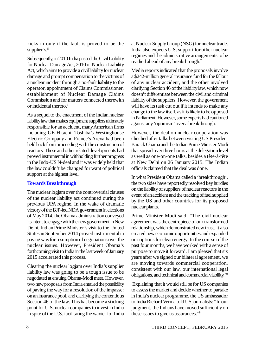kicks in only if the fault is proved to be the supplier's.<sup>5</sup>

Subsequently, in 2010 India passed the Civil Liability for Nuclear Damage Act, 2010 or Nuclear Liability Act, which aims to provide a civil liability for nuclear damage and prompt compensation to the victims of a nuclear incident through a no-fault liability to the operator, appointment of Claims Commissioner, establishment of Nuclear Damage Claims Commission and for matters connected therewith or incidental thereto.<sup>6</sup>

As a sequel to the enactment of the Indian nuclear liability law that makes equipment suppliers ultimately responsible for an accident, many American firms including GE-Hitachi, Toshiba's Westinghouse Electric Company and France's Areva had been held back from proceeding with the construction of reactors. These and other related developments had proved instrumental in withholding further progress in the Indo-US N-deal and it was widely held that the law couldn't be changed for want of political support at the highest level.

#### **Towards Breakthrough**

The nuclear logjam over the controversial clauses of the nuclear liability act continued during the previous UPA regime. In the wake of dramatic victory of the BJP-led NDA government in elections of May 2014, the Obama administration conveyed its intent to engage with the new government in New Delhi. Indian Prime Minister's visit to the United States in September 2014 proved instrumental in paving way for resumption of negotiations over the nuclear issues. However, President Obama's forthcoming visit to India in the last week of January 2015 accelerated this process.

Clearing the nuclear logjam over India's supplier liability law was going to be a tough issue to be negotiated at ensuing Obama-Modi meet. However, two new proposals from India entailed the possibility of paving the way for a resolution of the impasse: on an insurance pool, and clarifying the contentious Section 46 of the law. This has become a sticking point for U.S. nuclear companies to invest in India in spite of the U.S. facilitating the wavier for India at Nuclear Supply Group (NSG) for nuclear trade. India also expects U.S. support for other nuclear regimes and the administrative arrangements to be readied ahead of any breakthrough.<sup>7</sup>

Media reports indicated that the proposals involve a \$242-million general insurance fund for the fallout of any nuclear accident, and the other involved clarifying Section 46 of the liability law, which now doesn't differentiate between the civil and criminal liability of the suppliers. However, the government will have its task cut out if it intends to make any change to the law itself, as it is likely to be opposed in Parliament. However, some experts had cautioned against any 'optimism' over a breakthrough.

However, the deal on nuclear cooperation was clinched after talks between visiting US President Barack Obama and the Indian Prime Minister Modi that spread over three hours at the delegation level as well as one-on-one talks, besides a tête-à-tête at New Delhi on 26 January 2015. The Indian officials claimed that the deal was done.

In what President Obama called a 'breakthrough', the two sides have reportedly resolved key hurdles on the liability of suppliers of nuclear reactors in the event of an accident and the tracking of fuel supplied by the US and other countries for its proposed nuclear plants.

Prime Minister Modi said: "The civil nuclear agreement was the centrepiece of our transformed relationship, which demonstrated new trust. It also created new economic opportunities and expanded our options for clean energy. In the course of the past four months, we have worked with a sense of purpose to move it forward. I am pleased that six years after we signed our bilateral agreement, we are moving towards commercial cooperation, consistent with our law, our international legal obligations, and technical and commercial viability."<sup>8</sup>

 Explaining that it would still be for US companies to assess the market and decide whether to partake in India's nuclear programme, the US ambassador to India Richard Verma told US journalists: "In our judgment, the Indians have moved sufficiently on these issues to give us assurances."9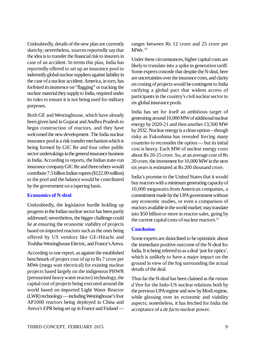Undoubtedly, details of the new plan are currently sketchy; nevertheless, sources reportedly say that the idea is to transfer the financial risk to insurers in case of an accident. In terms this plan, India has reportedly offered to set up an insurance pool to indemnify global nuclear suppliers against liability in the case of a nuclear accident. America, in turn, has forfeited its insistence on "flagging" or tracking the nuclear material they supply to India, required under its rules to ensure it is not being used for military purposes.

Both GE and Westinghouse, which have already been given land in Gujarat and Andhra Pradesh to begin construction of reactors, and they have welcomed the new development. The India nuclear insurance pool is a risk transfer mechanism which is being formed by GIC Re and four other public sector undertakings in the general insurance business in India. According to reports, the Indian state-run insurance company GIC Re and three others would contribute 7.5 billion Indian rupees (\$122.09 million) to the pool and the balance would be contributed by the government on a tapering basis.

### **Economics of N-deal**

Undoubtedly, the legislative hurdle holding up progress in the Indian nuclear sector has been partly addressed; nevertheless, the bigger challenge could lie at ensuring the economic viability of projects based on imported reactors such as the ones being offered by US vendors like GE-Hitachi and Toshiba-Westinghouse Electric, and France's Areva.

According to one report, as against the established benchmark of project cost of up to Rs 7 crore per MWe (mega watt electrical) for existing nuclear projects based largely on the indigenous PHWR (pressurised heavy water reactor) technology, the capital cost of projects being executed around the world based on imported Light Water Reactor (LWR) technology — including Westinghouse's four AP1000 reactors being deployed in China and Areva's EPR being set up in France and Finland — ranges between Rs 12 crore and 25 crore per  $MWe.<sup>10</sup>$ 

Under these circumstances, higher capital costs are likely to translate into a spike in generation tariff. Some experts concede that despite the N-deal, here are uncertainties over the insurance costs, and clarity on costing of projects would be contingent to India ratifying a global pact that widens access of participants in the country's civil nuclear sector to six global insurance pools.

India has set for itself an ambitious target of generating around 10,000 MW of additional nuclear energy by 2020-21 and then another 13,500 MW by 2032. Nuclear energy is a clean option—though risky as Fukushima has revealed forcing many countries to reconsider the option — but its initial cost is heavy. Each MW of nuclear energy costs about Rs 20-25 crore. So, at an average cost of Rs 20 crore, the investment for 10,000 MW in the next six years is estimated at Rs 200 thousand crore.

India's promise to the United States that it would buy reactors with a minimum generating capacity of 10,000 megawatts from American companies, a commitment made by the UPA government without any economic studies, or even a comparison of reactors available in the world market; may translate into \$50 billion or more in reactor sales, going by the current capital costs of nuclear reactors.<sup>11</sup>

#### **Conclusion**

Some experts are disinclined to be optimistic about the immediate positive outcome of the N-deal for India. It is being referred to as a deal 'just for optics', which is unlikely to have a major impact on the ground in view of the fog surrounding the actual details of the deal.

Thus far the N-deal has been claimed as the *raison d'être* for the Indo-US nuclear relations both by the previous UPA regime and now by Modi regime, while glossing over its economic and viability aspects; nonetheless, it has fetched for India the acceptance of a *de facto* nuclear power.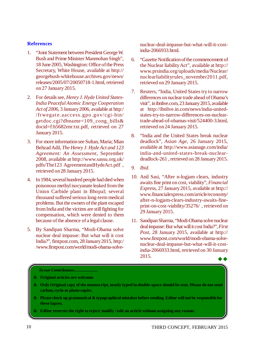# **References**

- 1. "Joint Statement between President George W. Bush and Prime Minister Manmohan Singh", 18 June 2005, Washington: Office of the Press Secretary, White House, available at http:// georgebush-whitehouse.archives.gov/news/ releases/2005/07/20050718-1.html, retrieved on 27 January 2015.
- 2. For details see, *Henry J. Hyde United States-India Peaceful Atomic Energy Cooperation Act of 2006*, 3 January 2006, available at http:/ /frwegate.aaccess.gpo.gov/cgi-bin/ getdoc.cgi?dbname=109\_cong\_bills& docid=f:h5682enr:txt.pdf, retrieved on 27 January 2015.
- 3. For more information see Sultan, Maria; Mian Behzad Adil, *The Henry J. Hyde Act and 123 Agreement: An Assessment*, September 2008, available at http://www.sassu.org.uk/ pdfs/The123 AgreementandHydeAct.pdf , retrieved on 28 January 2015.
- 4. In 1984, several hundred people had died when poisonous methyl isocyanate leaked from the Union Carbide plant in Bhopal; several thousand suffered serious long-term medical problems. But the owners of the plant escaped from India and the victims are still fighting for compensation, which were denied to them because of the absence of a legal clause.
- 5. By Sandipan Sharma, "Modi-Obama solve nuclear deal impasse: But what will it cost India?", firstpost.com, 28 January 2015, http:/ /www.firstpost.com/world/modi-obama-solve-

nuclear-deal-impasse-but-what-will-it-costindia-2066933.html.

- 6. "Gazette Notification of the commencement of the Nuclear liability Act", available at http:// www.prsindia.org/uploads/media/Nuclear/ nuclearliabilityrules\_november2011.pdf, retrieved on 29 January 2015.
- 7. Reuters, "India, United States try to narrow differences on nuclear trade ahead of Obama's visit", in ibnlive.com, 23 January 2015, available at http://ibnlive.in.com/news/india-unitedstates-try-to-narrow-differences-on-nucleartrade-ahead-of-obamas-visit/524400-3.html, retrieved on 24 January 2015.
- 8. "India and the United States break nuclear deadlock", *Asian Age*, 26 January 2015, available at http://www.asianage.com/india/ india-and-united-states-break-nucleardeadlock-261 , retrieved on 28 January 2015.
- *9. Ibid*.
- 10. Anil Sasi, "After n-logjam clears, industry awaits fine print on cost, viability", *Financial Express*, 27 January 2015, available at http:// www.financialexpress.com/article/economy/ after-n-logjam-clears-industry-awaits-fineprint-on-cost-viability/35276/ , retrieved on 29 January 2015.
- 11. Sandipan Sharma, "Modi-Obama solve nuclear deal impasse: But what will it cost India?", *First Post*, 28 January 2015, available at http:// www.firstpost.com/world/modi-obama-solvenuclear-deal-impasse-but-what-will-it-costindia-2066933.html, retrieved on 30 January 2015.  $\blacklozenge \blacklozenge$

# *To our Contributors.....................*

- **& Original articles are welcome.**
- **& Only Original copy of the manuscript, neatly typed in double-space should be sent. Please do not send carbon, cyclo-or photo-copies.**
- **& Please check up grammatical & typographical mistakes before sending. Editor will not be responsible for these lapses.**
- **& Editor reserves the right to reject/ modify / edit an article without assigning any reason.**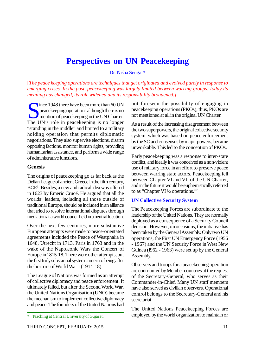# **Perspectives on UN Peacekeeping**

Dr. Nisha Sengar\*

[*The peace keeping operations are techniques that get originated and evolved purely in response to emerging crises. In the past, peacekeeping was largely limited between warring groups; today its meaning has changed, its role widened and its responsibility broadened.]*

 $S_i$ <sup>i</sup> ince 1948 there have been more than 60 UN peacekeeping operations although there is no mention of peacekeeping in the UN Charter. The UN's role in peacekeeping is no longer "standing in the middle" and limited to a military holding operation that permits diplomatic negotiations. They also supervise elections, disarm opposing factions, monitor human rights, providing humanitarian assistance, and perform a wide range of administrative functions.

#### **Genesis**

The origins of peacekeeping go as far back as the Delian League of ancient Greece in the fifth century, BCE<sup>1</sup> . Besides, a new and radical idea was offered in 1623 by Emeric Crucé. He argued that all the worlds' leaders, including all those outside of traditional Europe, should be included in an alliance that tried to resolve international disputes through mediation at a world council held in a neutral location.

Over the next few centuries, more substantive European attempts were made to peace-orientated agreements included the Peace of Westphalia in 1648, Utrecht in 1713, Paris in 1763 and in the wake of the Napoleonic Wars the Concert of Europe in 1815-18. There were other attempts, but the first truly substantial system came into being after the horrors of World War I (1914-18).

The League of Nations was formed as an attempt of collective diplomacy and peace enforcement. It ultimately failed, but after the Second World War, the United Nations Organisation (UNO) became the mechanism to implement collective diplomacy and peace. The founders of the United Nations had

\* Teaching at Central University of Gujarat.

not foreseen the possibility of engaging in peacekeeping operations (PKOs); thus, PKOs are not mentioned at all in the original UN Charter.

As a result of the increasing disagreement between the two superpowers, the original collective security system, which was based on peace enforcement by the SC and consensus by major powers, became unworkable. This led to the conception of PKOs.

Early peacekeeping was a response to inter-state conflict, and ideally it was conceived as a non-violent use of military force in an effort to preserve peace between warring state actors. Peacekeeping fell between Chapter VI and VII of the UN Charter, and in the future it would be euphemistically referred to as "Chapter VI 1/2 operations.<sup>2"</sup>

# **UN Collective Security System**

The Peacekeeping Forces are subordinate to the leadership of the United Nations. They are normally deployed as a consequence of a Security Council decision. However, on occasions, the initiative has been taken by the General Assembly. Only two UN operations, the First UN Emergency Force (1956 - 1967) and the UN Security Force in West New Guinea (l962 - 1963) were set up by the General Assembly.

Observers and troops for a peacekeeping operation are contributed by Member countries at the request of the Secretary-General, who serves as their Commander-in-Chief. Many UN staff members have also served as civilian observers. Operational control belongs to the Secretary-General and his secretariat.

The United Nations Peacekeeping Forces are employed by the world organization to maintain or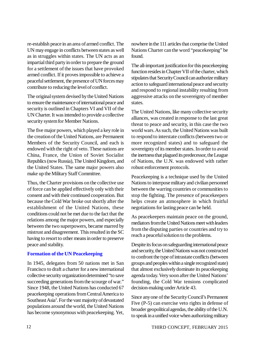re-establish peace in an area of armed conflict. The UN may engage in conflicts between states as well as in struggles within states. The UN acts as an impartial third party in order to prepare the ground for a settlement of the issues that have provoked armed conflict. If it proves impossible to achieve a peaceful settlement, the presence of UN forces may contribute to reducing the level of conflict.

The original system devised by the United Nations to ensure the maintenance of international peace and security is outlined in Chapters VI and VII of the UN Charter. It was intended to provide a collective security system for Member Nations.

The five major powers, which played a key role in the creation of the United Nations, are Permanent Members of the Security Council, and each is endowed with the right of veto. These nations are China, France, the Union of Soviet Socialist Republics (now Russia), The United Kingdom, and the United States. The same major powers also make up the Military Staff Committee.

Thus, the Charter provisions on the collective use of force can be applied effectively only with their consent and with their continued cooperation. But because the Cold War broke out shortly after the establishment of the United Nations, these conditions could not be met due to the fact that the relations among the major powers, and especially between the two superpowers, became marred by mistrust and disagreement. This resulted in the SC having to resort to other means in order to preserve peace and stability.

# **Formation of the UN Peacekeeping**

In 1945, delegates from 50 nations met in San Francisco to draft a charter for a new international collective security organization determined "to save succeeding generations from the scourge of war." Since 1948, the United Nations has conducted 67 peacekeeping operations from Central America to Southeast Asia<sup>3</sup>. For the vast majority of devastated populations around the world, the United Nations has become synonymous with peacekeeping. Yet,

nowhere in the 111 articles that comprise the United Nations Charter can the word "peacekeeping" be found.

The all-important justification for this peacekeeping function resides in Chapter VII of the charter, which stipulates that Security Council can authorize military action to safeguard international peace and security and respond to regional instability resulting from aggressive attacks on the sovereignty of member states.

The United Nations, like many collective security alliances, was created in response to the last great threat to peace and security, in this case the two world wars. As such, the United Nations was built to respond to interstate conflicts (between two or more recognized states) and to safeguard the sovereignty of its member states. In order to avoid the inertness that plagued its predecessor, the League of Nations, the U.N. was endowed with rather robust enforcement protocols.

Peacekeeping is a technique used by the United Nations to interpose military and civilian personnel between the warring countries or communities to stop the fighting. The presence of peacekeepers helps create an atmosphere in which fruitful negotiations for lasting peace can be held.

As peacekeepers maintain peace on the ground, mediators from the United Nations meet with leaders from the disputing parties or countries and try to reach a peaceful solution to the problems.

Despite its focus on safeguarding international peace and security, the United Nations was not constructed to confront the type of intrastate conflicts (between groups and peoples within a single recognized state) that almost exclusively dominate its peacekeeping agenda today. Very soon after the United Nations' founding, the Cold War tensions complicated decision-making under Article 43.

Since any one of the Security Council's Permanent Five (P-5) can exercise veto rights in defense of broader geopolitical agendas, the ability of the U.N. to speak in a unified voice when authorizing military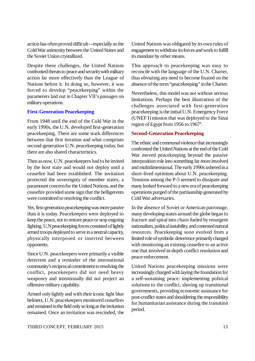action has often proved difficult—especially as the Cold War animosity between the United States and the Soviet Union crystallized.

Despite these challenges, the United Nations confronted threats to peace and security with military action far more effectively than the League of Nations before it. In doing so, however, it was forced to develop "peacekeeping" within the parameters laid out in Chapter VII's passages on military operations.

#### **First-Generation Peacekeeping**

From 1948 until the end of the Cold War in the early 1990s, the U.N. developed first-generation peacekeeping. There are some stark differences between that first iteration and what comprises second-generation U.N. peacekeeping today, but there are also shared characteristics.

Then as now, U.N. peacekeepers had to be invited by the host state and would not deploy until a ceasefire had been established. The invitation protected the sovereignty of member states, a paramount concern for the United Nations, and the ceasefire provided some sign that the belligerents were committed to resolving the conflict.

Yet, first-generation peacekeeping was more passive than it is today. Peacekeepers were deployed to keep the peace, not to restore peace or stop ongoing fighting. U.N peacekeeping forces consisted of lightly armed troops deployed to serve in a neutral capacity, physically interposed or inserted between opponents.

Since U.N. peacekeepers were primarily a visible deterrent and a reminder of the international community's reciprocal commitment to resolving the conflict, peacekeepers did not need heavy weaponry and intentionally did not project an offensive military capability.

Armed only lightly and with their iconic light blue helmets, U.N. peacekeepers monitored ceasefires and remained in the field only so long as the invitation remained. Once an invitation was rescinded, the

United Nations was obligated by its own rules of engagement to withdraw its forces and work to fulfill its mandate by other means.

This approach to peacekeeping was easy to reconcile with the language of the U.N. Charter, thus obviating any need to become fixated on the absence of the term "peacekeeping" in the Charter.

Nevertheless, this model was not without serious limitations. Perhaps the best illustration of the challenges associated with first-generation peacekeeping is the initial U.N. Emergency Force (UNEF I) mission that was deployed to the Sinai region of Egypt from 1956 to 1967<sup>4</sup> .

### **Second-Generation Peacekeeping**

The ethnic and communal violence that increasingly confronted the United Nations at the end of the Cold War moved peacekeeping beyond the passive interposition role into something far more involved and multidimensional. The early 1990s ushered in a short-lived optimism about U.N. peacekeeping. Tensions among the P-5 seemed to dissipate and many looked forward to a new era of peacekeeping operations purged of the partisanship generated by Cold War adversaries.

In the absence of Soviet or American patronage, many developing states around the globe began to fracture and spiral into chaos fueled by resurgent nationalism, political instability, and contested natural resources. Peacekeeping soon evolved from a limited role of symbolic deterrence primarily charged with monitoring an existing ceasefire to an active one that involved in-depth conflict resolution and peace enforcement.

United Nations peacekeeping missions were increasingly charged with laying the foundation for a self-sustaining peace: implementing political solutions to the conflict, shoring up transitional governments, providing economic assistance for post-conflict states and shouldering the responsibility for humanitarian assistance during the transition period.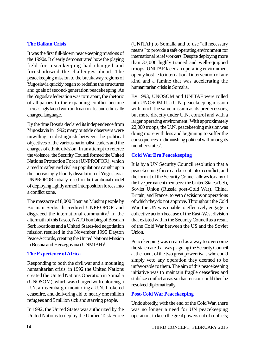# **The Balkan Crisis**

It was the first full-blown peacekeeping missions of the 1990s. It clearly demonstrated how the playing field for peacekeeping had changed and foreshadowed the challenges ahead. The peacekeeping mission to the breakaway regions of Yugoslavia quickly began to redefine the structures and goals of second-generation peacekeeping. As the Yugoslav federation was torn apart, the rhetoric of all parties to the expanding conflict became increasingly laced with both nationalist and ethnically charged language.

By the time Bosnia declared its independence from Yugoslavia in 1992; many outside observers were unwilling to distinguish between the political objectives of the various nationalist leaders and the charges of ethnic division. In an attempt to referee the violence, the Security Council formed the United Nations Protection Force (UNPROFOR), which aimed to safeguard civilian populations caught up in the increasingly bloody dissolution of Yugoslavia. UNPROFOR initially relied on the traditional model of deploying lightly armed interposition forces into a conflict zone.

The massacre of 8,000 Bosnian Muslim people by Bosnian Serbs discredited UNPROFOR and disgraced the international community.<sup>5</sup> In the aftermath of this fiasco, NATO bombing of Bosnian Serb locations and a United States-led negotiation mission resulted in the November 1995 Dayton Peace Accords, creating the United Nations Mission in Bosnia and Herzegovina (UNMIBH)<sup>6</sup>.

# **The Experience of Africa**

Responding to both the civil war and a mounting humanitarian crisis, in 1992 the United Nations created the United Nations Operation in Somalia (UNOSOM), which was charged with enforcing a U.N. arms embargo, monitoring a U.N.-brokered ceasefire, and delivering aid to nearly one million refugees and 5 million sick and starving people.

In 1992, the United States was authorized by the United Nations to deploy the Unified Task Force (UNITAF) to Somalia and to use "all necessary means" to provide a safe operating environment for international relief workers. Despite deploying more than 37,000 highly trained and well-equipped troops, UNITAF faced an operating environment openly hostile to international intervention of any kind and a famine that was accelerating the humanitarian crisis in Somalia.

By 1993, UNOSOM and UNITAF were rolled into UNOSOM II, a U.N. peacekeeping mission with much the same mission as its predecessors, but more directly under U.N. control and with a larger operating environment. With approximately 22,000 troops, the U.N. peacekeeping mission was doing more with less and beginning to suffer the consequences of diminishing political will among its member states<sup>7</sup>.

# **Cold War Era Peacekeeping**

It is by a UN Security Council resolution that a peacekeeping force can be sent into a conflict, and the format of the Security Council allows for any of the five permanent members: the United States (US), Soviet Union (Russia post-Cold War), China, Britain, and France, to veto decisions or operations of which they do not approve. Throughout the Cold War, the UN was unable to effectively engage in collective action because of the East-West division that existed within the Security Council as a result of the Cold War between the US and the Soviet Union.

Peacekeeping was created as a way to overcome the stalemate that was plaguing the Security Council at the hands of the two great power rivals who could simply veto any operation they deemed to be unfavorable to them. The aim of this peacekeeping initiative was to maintain fragile ceasefires and stabilize conflict areas so that tension could then be resolved diplomatically.

# **Post-Cold War Peacekeeping**

Undoubtedly, with the end of the Cold War, there was no longer a need for UN peacekeeping operations to keep the great powers out of conflicts;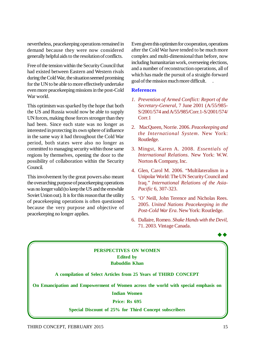nevertheless, peacekeeping operations remained in demand because they were now considered generally helpful aids to the resolution of conflicts.

Free of the tension within the Security Council that had existed between Eastern and Western rivals during the Cold War, the situation seemed promising for the UN to be able to more effectively undertake even more peacekeeping missions in the post-Cold War world.

This optimism was sparked by the hope that both the US and Russia would now be able to supply UN forces, making those forces stronger than they had been. Since each state was no longer as interested in protecting its own sphere of influence in the same way it had throughout the Cold War period, both states were also no longer as committed to managing security within those same regions by themselves, opening the door to the possibility of collaboration within the Security Council.

This involvement by the great powers also meant the overarching purpose of peacekeeping operations was no longer valid (to keep the US and the erstwhile Soviet Union out). It is for this reason that the utility of peacekeeping operations is often questioned because the very purpose and objective of peacekeeping no longer applies.

Even given this optimism for cooperation, operations after the Cold War have tended to be much more complex and multi-dimensional than before, now including humanitarian work, overseeing elections, and a number of reconstruction operations, all of which has made the pursuit of a straight-forward goal of the mission much more difficult. .

# **References**

- *1. Prevention of Armed Conflict: Report of the Secretary-General*, 7 June 2001 (A/55/985- S/2001/574 and A/55/985/Corr.1-S/2001/574/ Corr.1
- 2. MacQueen, Norrie. 2006. *Peacekeeping and the International System*. New York: Routledge.
- 3. Mingst, Karen A. 2008. *Essentials of International Relations*. New York: W.W. Norton & Company, Inc.
- 4. Glen, Carol M. 2006. "Multilateralism in a Unipolar World: The UN Security Council and Iraq." *International Relations of the Asia-Pacific* 6, 307-323.
- 5. 'O' Neill, John Terence and Nicholas Rees. 2005. *United Nations Peacekeeping in the Post-Cold War Era*. New York: Routledge.
- 6. Dallaire, Romeo. *Shake Hands with the Devil*, 71. 2003. Vintage Canada.

# **PERSPECTIVES ON WOMEN Edited by Babuddin Khan**

**A compilation of Select Articles from 25 Years of THIRD CONCEPT**

**On Emancipation and Empowerment of Women across the world with special emphasis on**

**Indian Women**

**Price: Rs 695**

**Special Discount of 25% for Third Concept subscribers**

 $\blacklozenge \blacklozenge$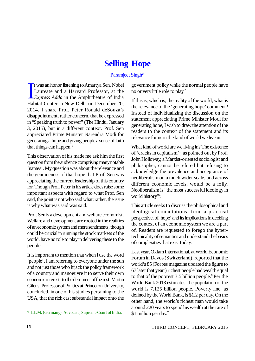# **Selling Hope**

# Paramjeet Singh\*

 $\prod_{\text{Hah}}$ t was an honor listening to Amartya Sen, Nobel Laureate and a Harvard Professor, at the *Express Adda* in the Amphitheatre of India Habitat Center in New Delhi on December 20, 2014. I share Prof. Peter Ronald deSouza's disappointment, rather concern, that he expressed in "Speaking truth to power" (The Hindu, January 3, 2015), but in a different context. Prof. Sen appreciated Prime Minister Narendra Modi for generating a hope and giving people a sense of faith that things can happen. $<sup>1</sup>$ </sup>

This observation of his made me ask him the first question from the audience comprising many notable 'names'. My question was about the relevance and the genuineness of that hope that Prof. Sen was appreciating the current leadership of this country for. Though Prof. Peter in his article does raise some important aspects with regard to what Prof. Sen said, the point is not who said what; rather, the issue is why what was said was said.

Prof. Sen is a development and welfare economist. Welfare and development are rooted in the realities of an economic system and mere sentiments, though could be crucial in running the stock markets of the world, have no role to play in delivering these to the people.

It is important to mention that when I use the word 'people', I am referring to everyone under the sun and not just those who hijack the policy framework of a country and manoeuvre it to serve their own economic interests to the detriment of the rest. Martin Gilens, Professor of Politics at Princeton University, concluded, in one of his studies pertaining to the USA, that the rich cast substantial impact onto the

government policy while the normal people have no or very little role to play.<sup>2</sup>

If this is, which is, the reality of the world, what is the relevance of the 'generating hope' comment? Instead of individualizing the discussion on the statement appreciating Prime Minister Modi for generating hope, I wish to draw the attention of the readers to the context of the statement and its relevance for us in the kind of world we live in.

What kind of world are we living in? The existence of 'cracks in capitalism'<sup>3</sup> , as pointed out by Prof. John Holloway, a Marxist-oriented sociologist and philosopher, cannot be refuted but refusing to acknowledge the prevalence and acceptance of neoliberalism on a much wider scale, and across different economic levels, would be a folly. Neoliberalism is "the most successful ideology in world history"<sup>4</sup> .

This article seeks to discuss the philosophical and ideological connotations, from a practical perspective, of 'hope' and its implications in deciding the context of an economic system we are a part of. Readers are requested to forego the hypertechnicality of semantics and understand the basics of complexities that exist today.

Last year, Oxfam International, at World Economic Forum in Davos (Switzerland), reported that the world's 85 (Forbes magazine updated the figure to 67 later that year<sup>5</sup>) richest people had wealth equal to that of the poorest 3.5 billion people.<sup>6</sup> Per the World Bank 2013 estimates, the population of the world is 7.125 billion people. Poverty line, as defined by the World Bank, is \$1.2 per day. On the other hand, the world's richest man would take around 220 years to spend his wealth at the rate of \$1 million per day.<sup>7</sup>

<sup>\*</sup> LL.M. (Germany), Advocate, Supreme Court of India.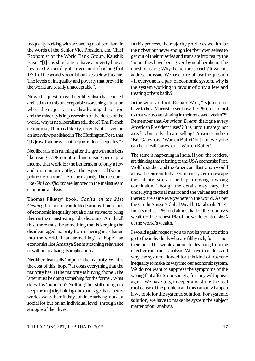Inequality is rising with advancing neoliberalism. In the words of the Senior Vice President and Chief Economist of the World Bank Group, Kaushik Basu, "[I] it is shocking to have a poverty line as low as \$1.25 per day, it is even more shocking that 1/7th of the world's population lives below this line. The levels of inequality and poverty that prevail in the world are totally unacceptable".<sup>8</sup>

Now, the question is: if neoliberalism has caused and led us to this unacceptable worsening situation where the majority is in a disadvantaged position and the minority is in possession of the riches of the world, why is neoliberalism still there? The French economist, Thomas Piketty, recently observed, in an interview published in The Huffington Post, that "[G]rowth alone will not help us reduce inequality*".*<sup>9</sup>

Neoliberalism is running after the growth numbers like rising GDP count and increasing per capita income that work for the betterment of only a few and, more importantly, at the expense of (sociopolitico-economic) life of the majority. The measures like *Gini coefficient* are ignored in the mainstream economic analysis.

Thomas Piketty' book, *Capital in the 21st Century*, has not only unfolded various dimensions of economic inequality but also has strived to bring them in the mainstream public discourse. Amidst all this, there must be something that is keeping the disadvantaged majority from ushering in a change into the world. That 'something' is 'hope', an economist like Amartya Sen is attaching relevance to without realizing its implications.

Neoliberalism sells 'hope' to the majority. What is the cost of this 'hope'? It costs everything that the majority has. If the majority is buying 'hope', the latter must be doing something for the former. What does this 'hope' do? Nothing! but still enough to keep the majority holding onto a mirage that a better world awaits them if they continue striving, not as a social lot but on an individual level, through the struggle of their lives.

In this process, the majority produces wealth for the richest but never enough for their own selves to get out of their miseries and translate into reality the 'hope' they have been given by neoliberalism. The question is not: Why the rich are so rich? It will not address the issue. We have to re-phrase the question - If everyone is a part of economic system, why is the system working in favour of only a few and treating others badly?

In the words of Prof. Richard Wolf, "[y]ou do not have to be a Marxist to see how the 1% tries to fool us that we too are sharing in their renewed wealth"<sup>10</sup>. Remember that *American Dream* dialogue every American President 'uses'? It is, unfortunately, not a reality but only 'dream-selling'. Anyone can be a 'Bill Gates' or a 'Warren Buffet' but not everyone can be a 'Bill Gates' or a 'Warren Buffet'.

The same is happening in India. If you, the readers, are thinking that referring to the USA economist Prof. Wolff's studies and the American illustration would allow the current India economic system to escape the liability, you are perhaps drawing a wrong conclusion. Though the details may vary, the underlying factual matrix and the values attached thereto are same everywhere in the world. As per the Credit Suisse' Global Wealth Databook 2014, India's richest 1% hold almost half of the country's wealth.<sup>11</sup> The richest 1% of the world control 46% of the world's wealth.<sup>12</sup>

I would again request you to not let your attention go to the individuals who are filthy rich, for it is not their fault. This would amount to deviating from the effective root cause analysis. We have to understand why the system allowed for this kind of obscene inequality to make its way into our economic system. We do not want to suppress the symptoms of the wrong that affects our society, for they will appear again. We have to go deeper and strike the real root cause of the problem and this can only happen if we look for the systemic solution. For systemic solution, we have to make the system the subject matter of our analysis.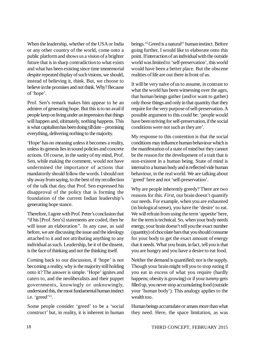When the leadership, whether of the USA or India or any other country of the world, come onto a public platform and shows us a vision of a brighter future that is in sharp contradiction to what exists and what has been existing since time immemorial despite repeated display of such visions, we should, instead of believing it, think. But, we choose to believe in the promises and not think. Why? Because of 'hope'.

Prof. Sen's remark makes him appear to be an admirer of generating hope. But this is to no avail if people keep on living under an impression that things will happen and, ultimately, nothing happens. This is what capitalism has been doing till date – promising everything, delivering nothing to the majority.

'Hope' has no meaning unless it becomes a reality, unless its genesis lies in sound policies and concrete actions. Of course, in the sanity of my mind, Prof. Sen, while making the comment, would not have undermined the importance of actions that mandatorily should follow the words. I should not shy away from saying, to the best of my recollection of the talk that day, that Prof. Sen expressed his disapproval of the policy that is forming the foundation of the current Indian leadership's generating hope stance.

Therefore, I agree with Prof. Peter's conclusion that "if his [Prof. Sen's] statements are coded, then he will issue an elaboration*".* In any case, as said before, we are discussing the issue and the ideology attached to it and not attributing anything to any individual as such. Leadership, be it of the dissent, is the face of thinking and not the thinking itself.

Coming back to our discussion, if 'hope' is not becoming a reality, why is the majority still holding onto it? The answer is simple. 'Hope' ignites and caters to, and the neoliberalists and their puppet governments, knowingly or unknowingly, understand this, the most fundamental human instinct i.e. 'greed'<sup>13</sup>.

Some people consider 'greed' to be a 'social construct' but, in reality, it is inherent in human beings.<sup>14</sup> Greed is a natural<sup>15</sup> human instinct. Before going further, I would like to elaborate onto this point. If interaction of an individual with the outside world was limited to 'self-preservation', this world would have been a better place. But the obscene realities of life are out there in front of us.

It will be very naïve of us to assume, in contrast to what the world has been witnessing over the ages, that human beings gather (and/or want to gather) only those things and only in that quantity that they require for the very purpose of self-preservation. A possible argument to this could be: 'people would have been striving for self-preservation, if the social conditions were not such as they are'.

My response to this contention is that the social conditions may influence human behaviour which is the manifestation of a state of mind but they cannot be the reason for the development of a trait that is non-existent in a human being. State of mind is internal to a human body and is reflected vide human behaviour, in the real world. We are talking about 'greed' here and not 'self-preservation'.

Why are people inherently greedy? There are two reasons for this. *First*, our brain doesn't quantify our needs. For example, when you are exhausted (in biological sense), you have the 'desire' to eat. We will refrain from using the term 'appetite' here, for the term is technical. So, when your body needs energy, your brain doesn't tell you the exact number (quantity) of chocolate bars that you should consume for your body to get the exact amount of energy that it needs. What you brain, in fact, tell you is that you are hungry and you have a desire to eat food.

Neither the demand is quantified; nor is the supply. Though your brain might tell you to stop eating if you eat in excess of what you require (hardly happens; obesity is growing) or if your *tummy* gets filled up, you never stop accumulating food (outside your 'human body'). This analogy applies to the wealth too.

Human beings accumulate or amass more than what they need. Here, the space limitation, as was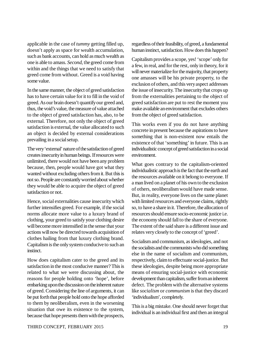applicable in the case of *tummy* getting filled up, doesn't apply as space for wealth accumulation, such as bank accounts, can hold as much wealth as one is able to amass. *Second*, the greed come from within and the things that we need to satisfy that greed come from without. Greed is a void having some value.

In the same manner, the object of greed satisfaction has to have certain value for it to fill in the void of greed. As our brain doesn't quantify our greed and, thus, the void's value, the measure of value attached to the object of greed satisfaction has, also, to be external. Therefore, not only the object of greed satisfaction is external, the value allocated to such an object is decided by external considerations prevailing in a social setup.

The very 'external' nature of the satisfaction of greed creates insecurity in human beings. If resources were unlimited, there would not have been any problem because, then, people would have got what they wanted without excluding others from it. But this is not so. People are constantly worried about whether they would be able to acquire the object of greed satisfaction or not.

Hence, social externalities cause insecurity which further intensifies greed. For example, if the social norms allocate more value to a luxury brand of clothing, your greed to satisfy your clothing desire will become more intensified in the sense that your actions will now be directed towards acquisition of clothes hailing from that luxury clothing brand. Capitalism is the only system conducive to such an instinct.

How does capitalism cater to the greed and its satisfaction in the most conducive manner? This is related to what we were discussing about, the reasons for people holding onto 'hope', before embarking upon the discussion on the inherent nature of greed. Considering the line of arguments, it can be put forth that people hold onto the hope afforded to them by neoliberalism, even in the worsening situation that owe its existence to the system, because that hope presents them with the prospects,

regardless of their feasibility, of greed, a fundamental human instinct, satisfaction. How does this happen?

Capitalism provides a scope, yes! 'scope' only for a few, in real, and for the rest, only in theory, for it will never materialize for the majority, that property one amasses will be his private property, to the exclusion of others, and this very aspect addresses the issue of insecurity. The insecurity that crops up from the externalities pertaining to the object of greed satisfaction are put to rest the moment you make available an environment that excludes others from the object of greed satisfaction.

This works even if you do not have anything concrete in present because the aspirations to have something that is non-existent now entails the existence of that 'something' in future. This is an individualistic concept of greed satisfaction in a social environment.

What goes contrary to the capitalism-oriented individualistic approach is the fact that the earth and the resources available on it belong to everyone. If a man lived on a planet of his own to the exclusion of others, neoliberalism would have made sense. But, in reality, everyone lives on the same planet with limited resources and everyone claims, rightly so, to have a share in it. Therefore, the allocation of resources should ensure socio-economic justice i.e. the economy should fall to the share of everyone. The extent of the said share is a different issue and relates very closely to the concept of 'greed'.

Socialism and communism, as ideologies, and not the socialists and the communists who did something else in the name of socialism and communism, respectively, claim to effectuate social-justice. But these ideologies, despite being more appropriate means of ensuring social-justice with economic development than capitalism, suffer from an inherent defect. The problem with the alternative systems like *socialism* or *communism* is that they discard 'individualism', completely.

This is a big mistake. One should never forget that individual is an individual first and then an integral

#### THIRD CONCEPT, FEBRUARY 2015 19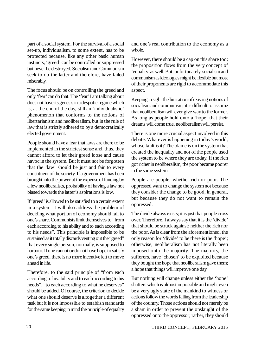part of a social system. For the survival of a social set-up, individualism, to some extent, has to be protected because, like any other basic human instincts, 'greed' can be controlled or suppressed but never be destroyed. Socialism and Communism seek to do the latter and therefore, have failed miserably.

The focus should be on controlling the greed and only 'fear' can do that. The 'fear' I am talking about does not have its genesis in a despotic regime which is, at the end of the day, still an 'individualistic' phenomenon that conforms to the notions of libertarianism and neoliberalism, but in the rule of law that is strictly adhered to by a democratically elected government.

People should have a fear that laws are there to be implemented in the strictest sense and, thus, they cannot afford to let their greed loose and cause havoc in the system. But it must not be forgotten that the 'law' should be just and fair to every constituent of the society. If a government has been brought into the power at the expense of funding by a few neoliberalists, probability of having a law not biased towards the latter's aspirations is low.

If 'greed' is allowed to be satisfied to a certain extent in a system, it will also address the problem of deciding what portion of economy should fall to one's share. Communists limit themselves to "from each according to his ability and to each according to his needs". This principle is impossible to be sustained as it totally discards venting out the "greed" that every single person, normally, is supposed to harbour. If one cannot or do not have hope to satisfy one's greed, there is no more incentive left to move ahead in life.

Therefore, to the said principle of "from each according to his ability and to each according to his needs", "to each according to what he deserves" should be added. Of course, the criterion to decide what one should deserve is altogether a different task but it is not impossible to establish standards for the same keeping in mind the principle of equality

and one's real contribution to the economy as a whole.

However, there should be a cap on this share too; the proposition flows from the very concept of 'equality' as well. But, unfortunately, socialism and communism as ideologies might be flexible but most of their proponents are rigid to accommodate this aspect.

Keeping in sight the limitation of existing notions of socialism and communism, it is difficult to assume that neoliberalism will ever give way to the former. As long as people hold onto a 'hope' that their dreams will come true, neoliberalism will persist.

There is one more crucial aspect involved in this debate. Whatever is happening in today's world, whose fault is it? The blame is on the system that created the inequality and not of the people used the system to be where they are today. If the rich got richer in neoliberalism, the poor became poorer in the same system.

People are people, whether rich or poor. The oppressed want to change the system not because they consider the change to be good, in general, but because they do not want to remain the oppressed.

The divide always exists; it is just that people cross over. Therefore, I always say that it is the 'divide' that should be struck against; neither the rich nor the poor. As is clear from the aforementioned, the only reason for 'divide' to be there is the 'hope'; otherwise, neoliberalism has not literally been imposed onto the majority. The majority, the sufferers, have 'chosen' to be exploited because they bought the hope that neoliberalism gave them; a hope that things will improve one day.

But nothing will change unless either the 'hope' shatters which is almost impossible and might even be a very ugly state of the mankind to witness or actions follow the words falling from the leadership of the country. Those actions should not merely be a sham in order to prevent the onslaught of the oppressed onto the oppressor; rather, they should

20 THIRD CONCEPT, FEBRUARY 2015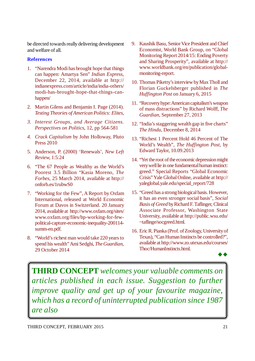be directed towards really delivering development and welfare of all.

# **References**

- 1. "Narendra Modi has brought hope that things can happen: Amartya Sen" *Indian Express*, December 22, 2014, available at http:// indianexpress.com/article/india/india-others/ modi-has-brought-hope-that-things-canhappen/
- 2. Martin Gilens and Benjamin I. Page (2014). *Testing Theories of American Politics: Elites,*
- *3. Interest Groups, and Average Citizens. Perspectives on Politics*, 12, pp 564-581
- *4. Crack Capitalism* by John Holloway, Pluto Press 2010
- 5. Anderson, P. (2000) 'Renewals', *New Left Review*, 1:5:24
- 6. "The 67 People as Wealthy as the World's Poorest 3.5 Billion "Kasia Moreno, *The Forbes*, 25 March 2014, available at http:// onforb.es/1rubwS0
- 7. "Working for the Few", A Report by Oxfam International, released at World Economic Forum at Davos in Switzerland. 20 January 2014, available at http://www.oxfam.org/sites/ www.oxfam.org/files/bp-working-for-fewpolitical-capture-economic-inequality-200114 summ-en.pdf.
- 8. "World's richest man would take 220 years to spend his wealth" Ami Sedghi, *The Guardian*, 29 October 2014
- 9. Kaushik Basu, Senior Vice President and Chief Economist, World Bank Group, on "Global Monitoring Report 2014/15: Ending Poverty and Sharing Prosperity", available at http:// www.worldbank.org/en/publication/globalmonitoring-report.
- 10. Thomas Piketty's interview by Max Tholl and Florian Guckelsberger published in *The Huffington Post* on January 6, 2015
- 11. "Recovery hype: American capitalism's weapon of mass distractions" by Richard Wolff, *The Guardian*, September 27, 2013
- 12. "India's staggering wealth gap in five charts" *The Hindu*, December 8, 2014
- 13. "Richest 1 Percent Hold 46 Percent of The World's Wealth", *The Huffington Post*, by Edward Taylor, 10.09.2013
- 14. "Yet the root of the economic depression might very well lie in one fundamental human instinct: greed." Special Reports "Global Economic Crisis" Yale Global Online, available at http:// yaleglobal.yale.edu/special\_report/728
- 15. "Greed has a strong biological basis. However, it has an even stronger social basis", *Social Basis of Greed* by Richard F. Taflinger, Clinical Associate Professor, Washington State University, available at http://public.wsu.edu/ ~taflinge/socgreed.html.
- 16. Eric R. Pianka (Prof. of Zoology, University of Texas), "Can Human Instincts be controlled?", available at http://www.zo.utexas.edu/courses/ Thoc/HumanInstincts.html.

 $\blacklozenge \blacklozenge$ 

**THIRD CONCEPT** *welcomes your valuable comments on articles published in each issue. Suggestion to further improve quality and get up of your favourite magazine, which has a record of uninterrupted publication since 1987 are also*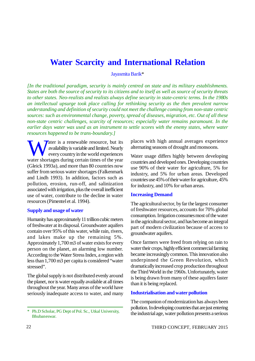# **Water Scarcity and International Relation**

Jayasmita Barik\*

*[In the traditional paradigm, security is mainly centred on state and its military establishments. States are both the source of security to its citizens and to itself as well as source of security threats to other states. Neo-realists and realists always define security in state-centric terms. In the 1980s an intellectual upsurge took place calling for rethinking security as the then prevalent narrow understanding and definition of security could not meet the challenge coming from non-state centric sources: such as environmental change, poverty, spread of diseases, migration, etc. Out of all these non-state centric challenges, scarcity of resources; especially water remains paramount. In the earlier days water was used as an instrument to settle scores with the enemy states, where water resources happened to be trans-boundary.]*

Water is a renewable resource, but its<br>availability is variable and limited. Nearly<br>every country in the world experiences<br>water shortages during certain times of the year  $\gamma$  ater is a renewable resource, but its availability is variable and limited. Nearly every country in the world experiences (Gleick 1993a), and more than 80 countries now suffer from serious water shortages (Falkenmark and Lindh 1993). In addition, factors such as pollution, erosion, run-off, and salinization associated with irrigation, plus the overall inefficient use of water, contribute to the decline in water resources (Pimentel et al. 1994).

### **Supply and usage of water**

Humanity has approximately 11 trillion cubic meters of freshwater at its disposal. Groundwater aquifers contain over 95% of this water, while rain, rivers, and lakes make up the remaining 5%. Approximately 1,700 m3 of water exists for every person on the planet, an alarming low number. According to the Water Stress Index, a region with less than 1,700 m3 per capita is considered "water stressed".

The global supply is not distributed evenly around the planet, nor is water equally available at all times throughout the year. Many areas of the world have seriously inadequate access to water, and many places with high annual averages experience alternating seasons of drought and monsoons.

Water usage differs highly between developing countries and developed ones. Developing countries use 90% of their water for agriculture, 5% for industry, and 5% for urban areas. Developed countries use 45% of their water for agriculture, 45% for industry, and 10% for urban areas.

### **Increasing Demand**

The agricultural sector, by far the largest consumer of freshwater resources, accounts for 70% global consumption. Irrigation consumes most of the water in the agricultural sector, and has become an integral part of modern civilization because of access to groundwater aquifers.

Once farmers were freed from relying on rain to water their crops, highly efficient commercial farming became increasingly common. This innovation also underpinned the Green Revolution, which dramatically increased crop production throughout the Third World in the 1960s. Unfortunately, water is being drawn from many of these aquifers faster than it is being replaced.

#### **Industrialisation and water pollution**

The companion of modernization has always been pollution. In developing countries that are just entering the industrial age, water pollution presents a serious

<sup>\*</sup> Ph.D Scholar, PG Dept of Pol. Sc., Utkal University, Bhubaneswar.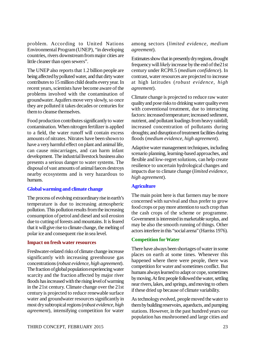problem. According to United Nations Environmental Program (UNEP), "in developing countries, rivers downstream from major cities are little cleaner than open sewers".

The UNEP also reports that 1.2 billion people are being affected by polluted water, and that dirty water contributes to 15 million child deaths every year. In recent years, scientists have become aware of the problems involved with the contamination of groundwater. Aquifers move very slowly, so once they are polluted it takes decades or centuries for them to cleanse themselves.

Food production contributes significantly to water contamination. When nitrogen fertilizer is applied to a field, the water runoff will contain excess amounts of nitrates. Nitrates have been shown to have a very harmful effect on plant and animal life, can cause miscarriages, and can harm infant development. The industrial livestock business also presents a serious danger to water systems. The disposal of vast amounts of animal faeces destroys nearby ecosystems and is very hazardous to humans.

#### **Global warming and climate change**

The process of evolving extraordinary rise in earth's temperature is due to increasing atmospheric pollution. This pollution results from the increasing consumption of petrol and diesel and soil erosion due to cutting of forests and mountains. It is feared that it will give rise to climate change, the melting of polar ice and consequent rise in sea level.

#### **Impact on fresh water resources**

Freshwater-related risks of climate change increase significantly with increasing greenhouse gas concentrations (*robust evidence, high agreement*). The fraction of global population experiencing water scarcity and the fraction affected by major river floods has increased with the rising level of warming in the 21st century. Climate change over the 21st century is projected to reduce renewable surface water and groundwater resources significantly in most dry subtropical regions (*robust evidence*, *high agreement*), intensifying competition for water

among sectors (*limited evidence*, *medium agreement*).

Estimates show that in presently dry regions, drought frequency will *likely* increase by the end of the21st century under RCP8.5 (*medium confidence*). In contrast, water resources are projected to increase at high latitudes (*robust evidence, high agreement*).

Climate change is projected to reduce raw water quality and pose risks to drinking water quality even with conventional treatment, due to interacting factors: increased temperature; increased sediment, nutrient, and pollutant loadings from heavy rainfall; increased concentration of pollutants during droughts; and disruption of treatment facilities during floods (*medium evidence, high agreement*).

Adaptive water management techniques, including scenario planning, learning-based approaches, and flexible and low-regret solutions, can help create resilience to uncertain hydrological changes and impacts due to climate change (*limited evidence, high agreement*).

#### **Agriculture**

The main point here is that farmers may be more concerned with survival and thus prefer to grow food crops or pay more attention to such crop than the cash crops of the scheme or programme. Government is interested in marketable surplus, and may be also the smooth running of things. Other actors interfere in this "social arena" (Harriss 1976).

#### **Competition for Water**

There have always been shortages of water in some places on earth at some times. Whenever this happened where there were people, there was competition for water and sometimes conflict. But humans always learned to adapt or cope, sometimes by moving. At first people followed the water, settling near rivers, lakes, and springs, and moving to others if these dried up because of climate variability.

As technology evolved, people moved the water to them by building reservoirs, aqueducts, and pumping stations. However, in the past hundred years our population has mushroomed and large cities and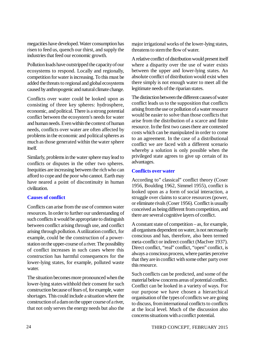megacities have developed. Water consumption has risen to feed us, quench our thirst, and supply the industries that feed our economic growth.

Pollution loads have outstripped the capacity of our ecosystems to respond. Locally and regionally, competition for water is increasing. To this must be added the threats to regional and global ecosystems caused by anthropogenic and natural climate change.

Conflicts over water could be looked upon as consisting of three key spheres: hydrosphere, economic, and political. There is a strong potential conflict between the ecosystem's needs for water and human needs. Even within the context of human needs, conflicts over water are often affected by problems in the economic and political spheres as much as those generated within the water sphere itself.

Similarly, problems in the water sphere may lead to conflicts or disputes in the other two spheres. Inequities are increasing between the rich who can afford to cope and the poor who cannot. Earth may have neared a point of discontinuity in human civilization.

# **Causes of conflict**

Conflicts can arise from the use of common water resources. In order to further our understanding of such conflicts it would be appropriate to distinguish between conflict arising through use, and conflict arising through pollution. A utilization conflict, for example, could be the construction of a powerstation on the upper-course of a river. The possibility of conflict increases in such cases where this construction has harmful consequences for the lower-lying states, for example, polluted waste water.

The situation becomes more pronounced when the lower-lying states withhold their consent for such construction because of fears of, for example, water shortages. This could include a situation where the construction of a dam on the upper course of a river, that not only serves the energy needs but also the major irrigational works of the lower-lying states, threatens to stem the flow of water.

A relative conflict of distribution would present itself where a disparity over the use of water exists between the upper and lower-lying states. An absolute conflict of distribution would exist when there simply is not enough water to meet all the legitimate needs of the riparian states.

The distinction between the different causes of water conflict leads us to the supposition that conflicts arising from the use or pollution of a water resource would be easier to solve than those conflicts that arise from the distribution of a scarce and finite resource. In the first two cases there are contested costs which can be manipulated in order to come to an agreement. In the case of a distributional conflict we are faced with a different scenario whereby a solution is only possible when the privileged state agrees to give up certain of its advantages.

### **Conflicts over water**

According to" classical" conflict theory (Coser 1956, Boulding 1962, Simmel 1955), conflict is looked upon as a form of social interaction, a struggle over claims to scarce resources (power, or eliminate rivals (Coser 1956). Conflict is usually conceived as being different from competition, and there are several cognitive layers of conflict.

A constant state of competition – as, for example, all organisms dependent on water, is not necessarily conscious and has, therefore, also been termed meta-conflict or indirect conflict (MacIver 1937). Direct conflict, "real" conflict, "open" conflict, is always a conscious process, where parties perceive that they are in conflict with some other party over this resource.

Such conflicts can be predicted, and some of the material below concerns areas of potential conflict. Conflict can be looked in a variety of ways. For our purpose we have chosen a hierarchical organisation of the types of conflicts we are going to discuss, from international conflicts to conflicts at the local level. Much of the discussion also concerns situations with a conflict potential.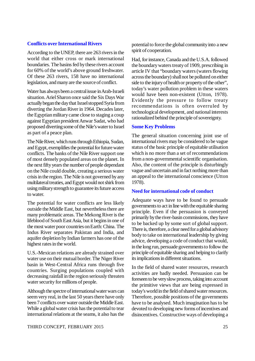#### **Conflicts over International Rivers**

According to the UNEP, there are 263 rivers in the world that either cross or mark international boundaries. The basins fed by these rivers account for 60% of the world's above ground freshwater. Of these 263 rivers, 158 have no international legislation, and many are the source of conflict.

Water has always been a central issue in Arab-Israeli situation. Ariel Sharon once said the Six Days War actually began the day that Israel stopped Syria from diverting the Jordan River in 1964. Decades later, the Egyptian military came close to staging a coup against Egyptian president Anwar Sadat, who had proposed diverting some of the Nile's water to Israel as part of a peace plan.

The Nile River, which runs through Ethiopia, Sudan, and Egypt, exemplifies the potential for future water conflicts. The banks of the Nile River support one of most densely populated areas on the planet. In the next fifty years the number of people dependant on the Nile could double, creating a serious water crisis in the region. The Nile is not governed by any multilateral treaties, and Egypt would not shirk from using military strength to guarantee its future access to water.

The potential for water conflicts are less likely outside the Middle East, but nevertheless there are many problematic areas. The Mekong River is the lifeblood of South East Asia, but it begins in one of the most water poor countries on Earth: China. The Indus River separates Pakistan and India, and aquifer depletion by Indian farmers has one of the highest rates in the world.

U.S.-Mexican relations are already strained over water use on their mutual border. The Niger River basin in West-Central Africa runs through five countries. Surging populations coupled with decreasing rainfall in the region seriously threaten water security for millions of people.

Although the spectre of international water wars can seem very real, in the last 50 years there have only been 7 conflicts over water outside the Middle East. While a global water crisis has the potential to tear international relations at the seams, it also has the

potential to force the global community into a new spirit of cooperation.

Had, for instance, Canada and the U.S.A. followed the boundary waters treaty of 1909, prescribing in article IV that "boundary waters (waters flowing across the boundary) shall not be polluted on either side to the injury of health or property of the other", today's water pollution problem in these waters would have been non-existent (Utton, 1978). Evidently the pressure to follow treaty recommendations is often overruled by technological development, and national interests rationalized behind the principle of sovereignty.

### **Some Key Problems**

The general situation concerning joint use of international rivers may be considered to be vague status of the basic principle of equitable utilisation which is no more than a set of recommendations from a non-governmental scientific organisation. Also, the content of the principle is disturbingly vague and uncertain and in fact nothing more than an appeal to the international conscience (Utton 1978).

#### **Need for international code of conduct**

Adequate ways have to be found to persuade governments to act in line with the equitable sharing principle. Even if the persuasion is conveyed primarily by the river-basin commissions, they have to be backed up by some sort of global support. There is, therefore, a clear need for a global advisory body to take on international leadership by giving advice, developing a code of conduct that would, in the long run, persuade governments to follow the principle of equitable sharing and helping to clarify its implications in different situations.

In the field of shared water resources, research activities are badly needed. Persuasion can be foreseen to be very slow process, taking into account the primitive views that are being expressed in today's world in the field of shared water resources. Therefore, possible positions of the governments have to be analysed. Much imagination has to be devoted to developing new forms of incentives and disincentives. Constructive ways of developing a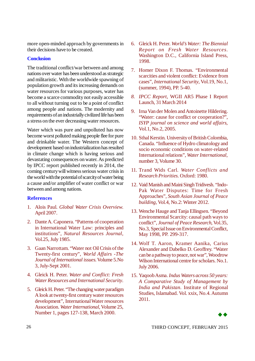more open-minded approach by governments in their decisions have to be created.

# **Conclusion**

The traditional conflict/war between and among nations over water has been understood as strategic and militaristic. With the worldwide spawning of population growth and its increasing demands on water resources for various purposes, water has become a scarce commodity not easily accessible to all without turning out to be a point of conflict among people and nations. The modernity and requirements of an industrially civilized life has been a stress on the ever decreasing water resources.

Water which was pure and unpolluted has now become worst polluted making people flee for pure and drinkable water. The Western concept of development based on industrialization has resulted in climate change which is having serious and devastating consequences on water. As predicted by IPCC report published recently in 2014, the coming century will witness serious water crisis in the world with the potential of scarcity of water being a cause and/or amplifier of water conflict or war between and among nations.

# **References**

- 1. Alois Paul. *Global Water Crisis Overview*. April 2007.
- 2. Dante A. Caponera. "Patterns of cooperation in International Water Law: principles and institutions", *Natural Resources Journal*, Vol.25, July 1985.
- 3. Gaan Narrottam. "Water not Oil Crisis of the Twenty-first century", *World Affairs -The Journal of International issues*. Volume 5.No 3, July-Sept 2001.
- 4. Gleick H. Peter. *Water and Conflict: Fresh Water Resources and International Security*.
- 5. Gleick H. Peter. "The changing water paradigm A look at twenty-first century water resources development", International Water resources Association. *Water International*, Volume 25, Number 1, pages 127-138, March 2000.
- 6. Gleick H. Peter. *World's Water: The Biennial Report on Fresh Water Resources*. Washington D.C., California Island Press, 1998.
- 7. Homer Dixon F. Thomas. "Environmental scarcities and violent conflict: Evidence from cases", *International Security*, Vol.19, No.1, (summer, 1994), PP. 5-40.
- *8. IPCC Report*, WGII AR5 Phase I Report Launch, 31 March 2014
- 9. Irna Van der Molen and Antoinette Hildering. "Water: cause for conflict or cooperation?", *ISYP journal on science and world affairs*, Vol.1, No.2, 2005.
- 10. Sthal Kerstin. University of British Colombia, Canada. "Influence of Hydro climatology and socio economic conditions on water-related International relations", *Water International*, number 3, Volume 30.
- 11. Trand Wids Carl. *Water Conflicts and Research Priorities*. Oxford: 1980.
- 12. Vaid Manish and Maini Singh Tridivesh. "Indo-Pak Water Disputes: Time for Fresh Approaches", *South Asian Journal of Peace building*, Vol.4, No.2: Winter 2012.
- 13. Wenche Hauge and Tanja Ellingsen. "Beyond Environmental Scarcity: causal path ways to conflict", *Journal of Peace Research*, Vol.35, No.3, Special Issue on Environmental Conflict, May 1998, PP. 299-317.
- 14. Wolf T. Aaron, Kramer Aanika, Carius Alexander and Dabelko D. Geoffrey. "Water can be a pathway to peace, not war", Woodrow Wilson International centre for scholars. No.1. July 2006.
- 15. Yaqoob Asma. *Indus Waters across 50 years: A Comparative Study of Management by India and Pakistan*. Institute of Regional Studies, Islamabad. Vol. xxix, No.4. Autumn 2011.



26 THIRD CONCEPT, FEBRUARY 2015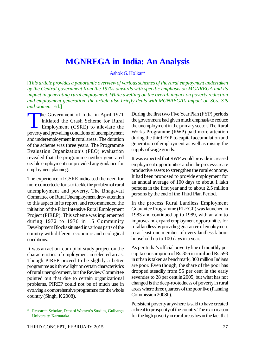# **MGNREGA in India: An Analysis**

Ashok G. Holkar\*

[*This article provides a panoramic overview of various schemes of the rural employment undertaken by the Central government from the 1970s onwards with specific emphasis on MGNREGA and its impact in generating rural employment. While dwelling on the overall impact on poverty reduction and employment generation, the article also briefly deals with MGNREGA's impact on SCs, STs and women.* Ed.]

The Government of India in April 1971<br>
initiated the Crash Scheme for Rural<br>
Employment (CSRE) to alleviate the<br>
poverty and prevailing conditions of unemployment he Government of India in April 1971 initiated the Crash Scheme for Rural Employment (CSRE) to alleviate the and underemployment in rural areas. The duration of the scheme was three years. The Programme Evaluation Organization's (PEO) evaluation revealed that the programme neither generated sizable employment nor provided any guidance for employment planning.

The experience of CSRE indicated the need for more concerted efforts to tackle the problem of rural unemployment and poverty. The Bhagavati Committee on Rural Unemployment drew attention to this aspect in its report, and recommended the initiation of the Pilot Intensive Rural Employment Project (PIREP). This scheme was implemented during 1972 to 1976 in 15 Community Development Blocks situated in various parts of the country with different economic and ecological conditions.

It was an action–cum-pilot study project on the characteristics of employment in selected areas. Though PIREP proved to be slightly a better programme as it threw light on certain characteristics of rural unemployment, but the Review Committee pointed out that due to certain organizational problems, PIREP could not be of much use in evolving a comprehensive programme for the whole country (Singh, K 2008).

During the first two Five Year Plan (FYP) periods the government had given much emphasis to reduce the unemployment in the primary sector. The Rural Works Programme (RWP) paid more attention during the third FYP to capital accumulation and generation of employment as well as raising the supply of wage goods.

It was expected that RWP would provide increased employment opportunities and in the process create productive assets to strengthen the rural economy. It had been proposed to provide employment for an annual average of 100 days to about 1 lakh persons in the first year and to about 2.5 million persons by the end of the Third Plan Period.

In the process Rural Landless Employment Guarantee Programme (RLEGP) was launched in 1983 and continued up to 1989, with an aim to improve and expand employment opportunities for rural landless by providing guarantee of employment to at least one member of every landless labour household up to 100 days in a year.

As per India's official poverty line of monthly per capita consumption of Rs.356 in rural and Rs.593 in urban is taken as benchmark, 300 million Indians are poor. Even though, the share of the poor has dropped steadily from 55 per cent in the early seventies to 28 per cent in 2005, but what has not changed is the deep-rootedness of poverty in rural areas where three quarters of the poor live (Planning Commission 2008b).

Persistent poverty anywhere is said to have created a threat to prosperity of the country. The main reason for the high poverty in rural areas lies in the fact that

<sup>\*</sup> Research Scholar*,* Dept of Women's Studies*,* Gulbarga University, Karnataka.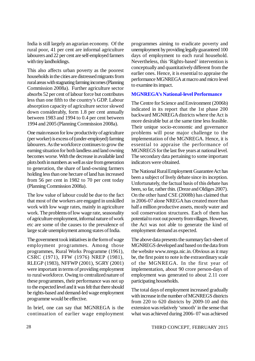India is still largely an agrarian economy. Of the rural poor, 41 per cent are informal agriculture labourers and 22 per cent are self-employed farmers with tiny landholdings.

This also affects urban poverty as the poorest households in the cities are distressed migrants from rural areas with stagnating farming incomes (Planning Commission 2008a). Further agriculture sector absorbs 52 per cent of labour force but contributes less than one fifth to the country's GDP. Labour absorption capacity of agriculture sector slowed down considerably, form 1.8 per cent annually between 1983 and 1994 to 0.4 per cent between 1994 and 2005 (Planning Commission 2008a).

One main reason for low productivity of agriculture (per worker) is excess of (under-employed) farming labourers. As the workforce continues to grow the earning situation for both landless and land owning becomes worse. With the decrease in available land plots both in numbers as well as size from generation to generation, the share of land-owning farmers holding less than one hectare of land has increased from 56 per cent in 1982 to 70 per cent today (Planning Commission 2008a).

The low value of labour could be due to the fact that most of the workers are engaged in unskilled work with low wage rates, mainly in agriculture work. The problems of low wage rate, seasonality of agriculture employment, informal nature of work etc are some of the causes to the prevalence of large scale unemployment among states of India.

The government took initiatives in the form of wage employment programmes. Among those programmes, Rural Works Programme (1961), CSRC (1971), FFW (1976) NREP (1981), RLEGP (1983), NFFWP (2001), SGRY (2001) were important in terms of providing employment to rural workforce. Owing to centralized nature of these programmes, their performance was not up to the expected level and it was felt that there should be rights-based and demand-led wage employment programme would be effective.

In brief, one can say that MGNREGA is the continuation of earlier wage employment programmes aiming to eradicate poverty and unemployment by providing legally guaranteed 100 days of employment to each rural household. Nevertheless, this 'Rights-based' intervention is conceptually and quantitatively different from the earlier ones. Hence, it is essential to appraise the performance MGNREGA at macro and micro level to examine its impact.

# **MGNREGA's National-level Performance**

The Centre for Science and Environment (2006b) indicated in its report that the 1st phase 200 backward MGNREGA districts where the Act is more desirable but at the same time less feasible. Their unique socio-economic and governance problems will pose major challenge to the implementation of the MGNREGA. Hence, it is essential to appraise the performance of MGNREGS for the last five years at national level. The secondary data pertaining to some important indicators were obtained.

The National Rural Employment Guarantee Act has been a subject of lively debate since its inception. Unfortunately, the factual basis of this debate has been, so far, rather thin. (Dreze and Oldiges 2007). On the other hand CSE (2008b) has claimed that in 2006-07 alone NREGA has created more than half a million productive assets, mostly water and soil conservation structures. Each of them has potential to root out poverty from villages. However, the Act was not able to generate the kind of employment demand as expected.

The above data presents the summary fact-sheet of MGNREGS developed and based on the data from the website www.nrega.nic.in. Obvious as it may be, the first point to note is the extraordinary scale of the MGNREGA. In the first year of implementation, about 90 crore person-days of employment was generated to about 2.11 core participating households.

The total days of employment increased gradually with increase in the number of MGNREGS districts from 220 to 620 districts by 2009-10 and this extension was relatively 'smooth' in the sense that what was achieved during 2006- 07 was achieved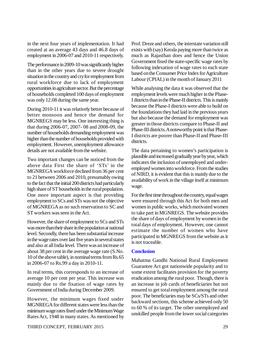in the next four years of implementation. It had created at an average 43 days and 46.8 days of employment in 2006-07 and 2010-11 respectively.

The performance in 2009-10 was significantly higher than in the other years due to severe drought situation in the country and cry for employment from rural workforce due to lack of employment opportunities in agriculture sector. But the percentage of households completed 100 days of employment was only 12.08 during the same year.

During 2010-11 it was relatively better because of better monsoon and hence the demand for MGNREGS may be less. One interesting thing is that during 2006-07, 2007- 08 and 2008-09, the number of households demanding employment was higher than the number of households provided with employment. However, unemployment allowance details are not available from the website.

Two important changes can be noticed from the above data First the share of 'STs' in the MGNREGA workforce declined from 36 per cent to 21 between 2006 and 2010, presumably owing to the fact that the initial 200 districts had particularly high share of ST households in the rural population. One more important aspect is that providing employment to SCs and STs was not the objective of MGNREGA as no such reservation to SC and ST workers was seen in the Act.

However, the share of employment to SCs and STs was more than their share in the population at national level. Secondly, there has been substantial increase in the wage rates over last five years in several states and also at all India level. There was an increase of about 38 per cent in the average wage rate (S.No. 10 of the above table), in nominal terms from Rs.65 in 2006-07 to Rs.99 a day in 2010-11.

In real terms, this corresponds to an increase of average 10 per cent per year. This increase was mainly due to the fixation of wage rates by Government of India during December 2009.

However, the minimum wages fixed under MGNREGA for different states were less than the minimum wage rates fixed under the Minimum Wage Rates Act, 1948 in many states. As mentioned by

THIRD CONCEPT, FEBRUARY 2015 29

Prof. Dreze and others, the interstate variation still exists with (say) Kerala paying more than twice as much as Rajasthan does and hence the Union Government fixed the state-specific wage rates by following indexation of wage rates to each state based on the Consumer Price Index for Agriculture Labour (CPIAL) in the month of January 2011

While analysing the data it was observed that the employment levels were much higher in the Phase-I districts than in the Phase-II districts. This is mainly because the Phase-I districts were able to build on the foundations they had laid in the previous years but also because the demand for employment was greater in those districts compare to Phase-II and Phase-III districts. A noteworthy point is that Phase-I districts are poorer than Phase-II and Phase-III districts.

The data pertaining to women's participation is plausible and increased gradually year by year, which indicates the inclusion of unemployed and underemployed women into workforce. From the studies of NIRD, it is evident that this is mainly due to the availability of work in the village itself at minimum wage.

For the first time throughout the country, equal wages were ensured through this Act for both men and women in public works, which motivated women to take part in MGNREGS. The website provides the share of days of employment by women in the total days of employment. However, one cannot estimate the number of women who have participated in MGNREGS from the website as it is not traceable.

#### **Conclusion**

Mahatma Gandhi National Rural Employment Guarantee Act got nationwide popularity and to some extent facilitates provision for the poverty eradication among the rural poor. Though, there is an increase in job cards of beneficiaries but not ensured to get total employment among the rural poor. The beneficiaries may be SCs/STs and other backward sections, this scheme achieved only 50 to 60 % of its target. The other unemployed and unskilled people from the lower social categories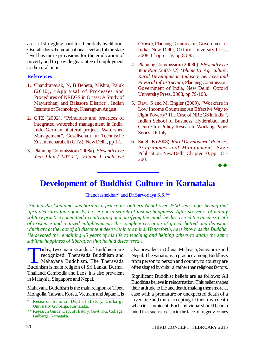are still struggling hard for their daily livelihood. Overall, this scheme at national level and at the state level has more provisions for the eradication of poverty and to provide guarantee of employment to the rural poor.

#### **References**

- 1. Chandranayak, N, B Behera, Mishra, Paluk (2010), "Appraisal of Processes and Procedures of NREGS in Orissa: A Study of Mayurbhanj and Balasore District", Indian Institute of Technology, Kharagpur, August.
- 2. GTZ (2002), "Principles and practices of integrated watershed management in India, Indo-German bilateral project: Watershed Management", Gesellschaft fur Technische Zusammenarabeit (GTZ), New Delhi, pp 1-2.
- 3. Planning Commission (2008a), *Eleventh Five Year Plan (2007-12), Volume I, Inclusive*

*Growth*, Planning Commission, Government of India, New Delhi, Oxford University Press, 2008, Chapter IV, pp 63-85

- 4. Planning Commission (2008b), *Eleventh Five Year Plan (2007-12), Volume III, Agriculture, Rural Development, Industry, Services and Physical Infrastructure,* Planning Commission, Government of India, New Delhi, Oxford University Press, 2008, pp 79-103.
- 5. Ravi, S and M. Engler (2009), "Workfare in Low Income Countries: An Effective Way to Fight Poverty? The Case of NREGS in India", Indian School of Business, Hyderabad, and Centre for Policy Research, Working Paper Series, 16 July.
- 6. Singh, K (2008), *Rural Development Policies, Programmes and Management*, Sage Publication, New Delhi, Chapter 10, pp. 181- 200.



# **Development of Buddhist Culture in Karnataka**

Chandrashekhar\* and Dr.Sarvodaya S.S.\*\*

[*Siddhartha Goutama was born as a prince in southern Nepal over 2500 years ago. Seeing that life's pleasures fade quickly, he set out in search of lasting happiness. After six years of mainly solitary practice committed to cultivating and purifying the mind, he discovered the timeless truth of existence and realized enlightenment: the complete cessation of greed, hatred and delusion, which are at the root of all discontent deep within the mind. Henceforth, he is known as the Buddha. He devoted the remaining 45 years of his life to teaching and helping others to attain the same sublime happiness of liberation that he had discovered.]*

**COREC EN EXECUTE: THE ENEXAM** STREAM THE THE Management Contractor Management Contractor Management Contractor Buddhism is main religion of Sri Lanka, Burma, oday, two main strands of Buddhism are recognized: Theravada Buddhism and Mahayana Buddhism. The Theravada Thailand, Cambodia and Laos; it is also prevalent in Malaysia, Singapore and Nepal.

Mahayana Buddhism is the main religion of Tibet, Mongolia, Taiwan, Korea, Vietnam and Japan; it is also prevalent in China, Malaysia, Singapore and Nepal. The variations in practice among Buddhists from person to person and country to country are often shaped by cultural rather than religious factors.

Significant Buddhist beliefs are as follows: All Buddhists believe in reincarnation. This belief shapes their attitude to life and death, making them more at ease with a premature or unexpected death of a loved one and more accepting of their own death when it is imminent. Each individual should bear in mind that such stoicism in the face of tragedy comes

Research Scholar, Dept of History, Gulbarga University, Gulbarga, Karnataka.

<sup>\*\*</sup> Research Guide, Dept of History, Govt. P.G. College, Gulbarga, Karnataka.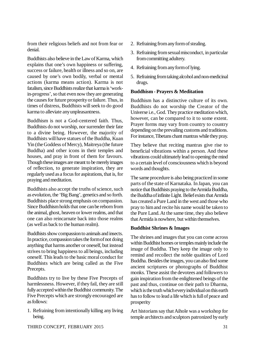from their religious beliefs and not from fear or denial.

Buddhists also believe in the Law of Karma, which explains that one's own happiness or suffering, success or failure, health or illness and so on, are caused by one's own bodily, verbal or mental actions (karma means action). Karma is not fatalism, since Buddhists realize that karma is 'workin-progress', so that even now they are generating the causes for future prosperity or failure. Thus, in times of distress, Buddhists will seek to do good karma to alleviate anyunpleasantness.

Buddhism is not a God-centered faith. Thus, Buddhists do not worship, nor surrender their fate to a divine being. However, the majority of Buddhists will have statues of the Buddha, Kuan Yin (the Goddess of Mercy), Maitreya (the future Buddha) and other icons in their temples and houses, and pray in front of them for favours. Though these images are meant to be merely images of reflection, to generate inspiration, they are regularly used as a focus for aspirations, that is, for praying and meditation.

Buddhists also accept the truths of science, such as evolution, the 'Big Bang', genetics and so forth. Buddhists place strong emphasis on compassion. Since Buddhism holds that one can be reborn from the animal, ghost, heaven or lower realms, and that one can also reincarnate back into those realms (as well as back to the human realm).

Buddhists show compassion to animals and insects. In practice, compassion takes the form of not doing anything that harms another or oneself, but instead strives to bring happiness to all beings, including oneself. This leads to the basic moral conduct for Buddhists which are being called as the Five Precepts.

Buddhists try to live by these Five Precepts of harmlessness. However, if they fail, they are still fully accepted within the Buddhist community. The Five Precepts which are strongly encouraged are as follows:

1. Refraining from intentionally killing any living being.

- 2. Refraining from any form of stealing.
- 3. Refraining from sexual misconduct, in particular from committing adultery.
- 4. Refraining from any form of lying.
- 5. Refraining from taking alcohol and non-medicinal drugs.

### **Buddhism - Prayers & Meditation**

Buddhism has a distinctive culture of its own. Buddhists do not worship the Creator of the Universe i.e., God. They practice meditation which, however, can be compared to it to some extent. Prayer forms may vary from country to country depending on the prevailing customs and traditions. For instance, Tibetans chant mantras while they pray.

They believe that reciting mantras give rise to beneficial vibrations within a person. And these vibrations could ultimately lead to opening the mind to a certain level of consciousness which is beyond words and thoughts.

The same procedure is also being practiced in some parts of the state of Karnataka. In Japan, you can notice that Buddhists praying to the Armida Buddha, the Buddha of infinite Light. Belief exists that Armida has created a Pure Land in the west and those who pray to him and recite his name would be taken to the Pure Land. At the same time, they also believe that Armida is nowhere, but within themselves.

#### **Buddhist Shrines & Images**

The shrines and images that you can come across within Buddhist homes or temples mainly include the image of Buddha. They keep the image only to remind and recollect the noble qualities of Lord Buddha. Besides the images, you can also find some ancient scriptures or photographs of Buddhist monks. These assist the devotees and followers to gain inspiration from the enlightened beings of the past and thus, continue on their path to Dharma, which is the truth which every individual on this earth has to follow to lead a life which is full of peace and prosperity

Art historians say that Aihole was a workshop for temple architects and sculptors patronized by early

THIRD CONCEPT, FEBRUARY 2015 31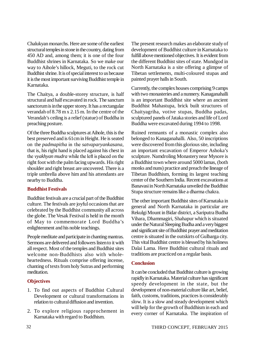Chalukyan monarchs. Here are some of the earliest structural temples in stone in the country, dating from 450 AD and, among them; it is one of the four Buddhist shrines in Karnataka. So we make our way to Aihole's hillock, Meguti, to the rock cut Buddhist shrine. It is of special interest to us because it is the most important surviving Buddhist temple in Karnataka.

The Chaitya, a double-storey structure, is half structural and half excavated in rock. The sanctum sanctorum is in the upper storey. It has a rectangular verandah of 8.78 m x 2.15 m. In the centre of the Verandah's ceiling is a relief (statue) of Buddha in preaching posture.

Of the three Buddha sculptures at Aihole, this is the best preserved and is 61cm in Height. He is seated on the *padmapitha* in the *satvaparyankasana*, that is, his right hand is placed against his chest in the *vyakhyan mudra* while the left is placed on the right foot with the palm facing upwards. His right shoulder and right breast are uncovered. There is a triple umbrella above him and his attendants are nearby to Buddha.

# **Buddhist Festivals**

Buddhist festivals are a crucial part of the Buddhist culture. The festivals are joyful occasions that are celebrated by the Buddhist community all across the globe. The Vesak Festival is held in the month of May to commemorate Lord Buddha's enlightenment and his noble teachings.

People meditate and participate in chanting mantras. Sermons are delivered and followers listen to it with all respect. Most of the temples and Buddhist sites welcome non-Buddhists also with wholeheartedness. Rituals comprise offering incense, chanting of texts from holy Sutras and performing meditation.

# **Objectives**

- 1. To find out aspects of Buddhist Cultural Development or cultural transformations in relation to cultural diffusion and invention.
- 2. To explore religious rapprochement in Karnataka with regard to Buddhism.

The present research makes an elaborate study of development of Buddhist culture in Karnataka to fulfill above mentioned objectives. It is evident from the different Buddhist sites of state. Mundgod in North Karnataka is a site offering a glimpse of Tibetan settlements, multi-coloured stupas and painted prayer halls in South.

Currently, the complex houses comprising 9 camps with two monasteries and a nunnery. Kanaganahalli is an important Buddhist site where an ancient Buddhist Mahastupa, brick built structures of Chaityagriha, votive stupas, Buddha padas, sculptured panels of Jataka stories and life of Lord Buddha were excavated during 1994 to 1998.

Ruined remnants of a monastic complex also belonged to Kanaganahalli. Also, 50 inscriptions were discovered from this glorious site, including an important excavation of Emperor Ashoka's sculpture. Namdroling Monastery near Mysore is a Buddhist town where around 5000 lamas, (both monks and nuns) practice and preach the lineage of Tibetan Buddhism, forming its largest teaching center of the Southern India. Recent excavations at Banavasi in North Karnataka unveiled the Buddhist Stupa structure remains like a dharma chakra.

The other important Buddhist sites of Karnataka in general and North Karnataka in particular are Rekulgi Mount in Bidar district, a Sariputra Budha Vihara, Dhammagiri, Shahapur which is situated under the Natural Sleeping Budha and a very biggest and significant site of Buddhist prayer and meditation centre is situated in the outskirts of Gulbarga city. This vital Buddhist centre is blessed by his holiness Dalai Lama. Here Buddhist cultural rituals and traditions are practiced on a regular basis.

#### **Conclusion**

It can be concluded that Buddhist culture is growing rapidly in Karnataka. Material culture has significant speedy development in the state, but the development of non-material culture like art, belief, faith, customs, traditions, practices is considerably slow. It is a slow and steady development which will help for the growth of Buddhism in each and every corner of Karnataka. The inspiration of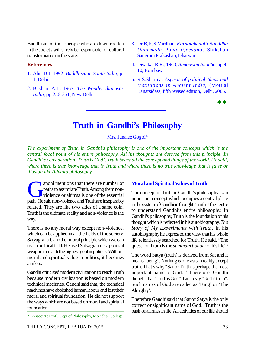Buddhism for those people who are downtrodden in the society will surely be responsible for cultural transformation in the state.

#### **References**

- 1. Ahir D.L.1992, *Buddhism in South India*, p. 1, Delhi.
- 2. Basham A.L. 1967, *The Wonder that was India*, pp.256-261, New Delhi.
- 3. Dr.B,K,S,Vardhan, *Karnatakadalli Bauddha Dharmada Punarujjeevana*, Shikshan Sangram Prakashan, Dharwar.
- 4. Diwakar R.R., 1960, *Bhagawan Buddha*, pp.9- 10, Bombay.
- 5. R.S.Sharma: *Aspects of political Ideas and Institutions in Ancient India*, (Motilal Banarsidass, fifth revised edition, Delhi, 2005.



# **Truth in Gandhi's Philosophy**

Mrs. Junalee Gogoi\*

*The experiment of Truth in Gandhi's philosophy is one of the important concepts which is the central focal point of his entire philosophy. All his thoughts are derived from this principle. In Gandhi's consideration 'Truth is God'. Truth bears all the concept and things of the world. He said, where there is true knowledge that is Truth and where there is no true knowledge that is false or illusion like Advaita philosophy.*

andhi mentions that there are number of<br>paths to assimilate Truth. Among them non-<br>violence or ahimsa is one of the essential<br>path. He said non-violence and Truth are inseparably andhi mentions that there are number of **paths to assimilate Truth. Among them non**violence or ahimsa is one of the essential related. They are like two sides of a same coin. Truth is the ultimate reality and non-violence is the way.

There is no any moral way except non-violence, which can be applied in all the fields of the society. Satyagraha is another moral principle which we can use in political field. He used Satyagraha as a political weapon to reach the highest goal in politics. Without moral and spiritual value in politics, it becomes aimless.

Gandhi criticized modern civilization to reach Truth because modern civilization is based on modern technical machines. Gandhi said that, the technical machines have abolished human labour and lost their moral and spiritual foundation. He did not support the ways which are not based on moral and spiritual foundation.

#### **Moral and Spiritual Values of Truth**

The concept of Truth in Gandhi's philosophy is an important concept which occupies a central place in the system of Gandhian thought. Truth is the centre to understand Gandhi's entire philosophy. In Gandhi's philosophy, Truth is the foundation of his thought which is reflected in his autobiography, *The Story of My Experiments with Truth*. In his autobiography he expressed the view that his whole life relentlessly searched for Truth. He said, "The quest for Truth is the *summum bonum* of his life"<sup>1</sup>

The word Satya (truth) is derived from Sat and it means "being". Nothing is or exists in reality except truth. That's why "Sat or Truth is perhaps the most important name of God."<sup>2</sup> Therefore, Gandhi thought that, "truth is God" than to say "God is truth". Such names of God are called as 'King' or 'The Almighty'.

Therefore Gandhi said that Sat or Satya is the only correct or significant name of God. Truth is the basis of all rules in life. All activities of our life should

<sup>\*</sup> Associate Prof., Dept of Philosophy, Moridhal College.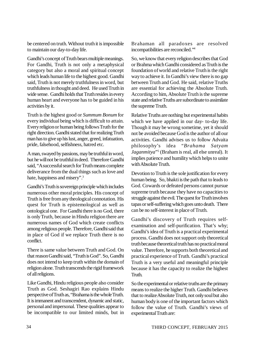be centered on truth. Without truth it is impossible to maintain our day-to-day life.

Gandhi's concept of Truth bears multiple meanings. For Gandhi, Truth is not only a metaphysical category but also a moral and spiritual concept which leads human life to the highest good. Gandhi said, Truth is not merely truthfulness in word, but truthfulness in thought and deed. He used Truth in wide sense. Gandhi holds that Truth resides in every human heart and everyone has to be guided in his activities by it.

Truth is the highest good or *Summum Bonum* for every individual being which is difficult to attain. Every religion or human being follows Truth for the right direction. Gandhi stated that for realizing Truth man has to give up his lust, anger, greed, infatuation, pride, falsehood, selfishness, hatred etc.

A man, swayed by passions, may be truthful in word, but he will not be truthful in deed. Therefore Gandhi said, "A successful search for Truth means complete deliverance from the dual things such as love and hate, happiness and misery".<sup>3</sup>

Gandhi's Truth is sovereign principle which includes numerous other moral principles. His concept of Truth is free from any theological connotation. His quest for Truth is epistemological as well as ontological one. For Gandhi there is no God, there is only Truth, because in Hindu religion there are numerous names of God which create conflicts among religious people. Therefore, Gandhi said that in place of God if we replace Truth there is no conflict.

There is same value between Truth and God. On that reason Gandhi said, "Truth is God". So, Gandhi does not intend to keep truth within the domain of religion alone. Truth transcends the rigid framework of all religions.

Like Gandhi, Hindu religious people also consider Truth as God. Seshagiri Rao explains Hindu perspective of Truth as, "Brahama is the whole Truth. It is immanent and transcendent, dynamic and static, personal and impersonal. These qualities appear to be incompatible to our limited minds, but in

Brahaman all paradoxes are resolved incompatibilities are reconciled."<sup>4</sup>

So, we know that every religion describes that God or Brahma which Gandhi considered as Truth is the foundation of world and relative Truth is the right way to achieve it. In Gandhi's view there is no gap between Truth and God. He said, relative Truths are essential for achieving the Absolute Truth. According to him, Absolute Truth is the supreme state and relative Truths are subordinate to assimilate the supreme Truth.

Relative Truths are nothing but experimental habits which we have applied in our day- to-day life. Though it may be wrong sometime, yet it should not be avoided because God is the author of all our activities. Gandhi advises us to follow Advaita philosophy's idea "*Brahama Satyam Jaganmitya*" 5 (Braham is real, all else unreal). It implies patience and humility which helps to unite with Absolute Truth.

Devotion to Truth is the sole justification for every human being. So, bhakti is the path that to leads to God. Cowards or defeated persons cannot pursue supreme truth because they have no capacities to struggle against the evil. The quest for Truth involves tapas or self-suffering which goes unto death. There can be no self-interest in place of Truth.

Gandhi's discovery of Truth requires selfexamination and self-purification. That's why; Gandhi's idea of Truth is a practical experimental process. Gandhi does not support only theoretical truth because theoretical truth has no practical moral value. Therefore, he supports both theoretical and practical experience of Truth. Gandhi's practical Truth is a very useful and meaningful principle because it has the capacity to realize the highest Truth.

So the experimental or relative truths are the primary means to realize the higher Truth. Gandhi believes that to realize Absolute Truth, not only soul but also human body is one of the important factors which follow the value of Truth. Gandhi's views of experimental Truth are: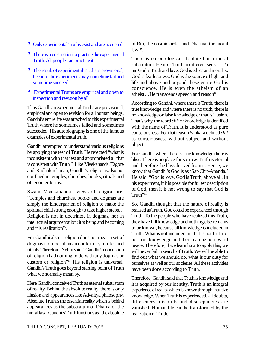- **³** Only experimental Truths exist and are accepted.
- **³** There is no restriction to practice the experimental Truth. All people can practice it.
- **³** The result of experimental Truths is provisional, because the experiments may sometime fail and sometime succeed.
- **³** Experimental Truths are empirical and open to inspection and revision by all.

Thus Gandhian experimental Truths are provisional, empirical and open to revision for all human beings. Gandhi's entire life was attached to this experimental Truth where he sometimes failed and sometimes succeeded. His autobiography is one of the famous examples of experimental truth.

Gandhi attempted to understand various religions by applying the test of Truth. He rejected "what is inconsistent with that test and appropriated all that is consistent with Truth."<sup>6</sup> Like Vivekananda, Tagore and Radhakrishanan, Gandhi's religion is also not confined in temples, churches, books, rituals and other outer forms.

Swami Vivekananda's views of religion are: "Temples and churches, books and dogmas are simply the kindergarten of religion to make the spiritual child strong enough to take higher steps… Religion is not in doctrines, in dogmas, nor in intellectual argumentation; it is being and becoming and it is realization"<sup>7</sup> .

For Gandhi also – religion does not mean a set of dogmas nor does it mean conformity to rites and rituals. Therefore, Nehru said, "Gandhi's conception of religion had nothing to do with any dogmas or custom or religion"<sup>8</sup> . His religion is universal. Gandhi's Truth goes beyond starting point of Truth what we normally mean by.

Here Gandhi conceived Truth as eternal substratum of reality. Behind the absolute reality, there is only illusion and appearances like Advaitya philosophy. Absolute Truth is the essential reality which is behind appearances as the substratum of Dhama or the moral law. Gandhi's Truth functions as "the absolute

of Rta, the cosmic order and Dharma, the moral law"<sup>9</sup>.

There is no ontological absolute but a moral substratum. He uses Truth in different sense- "To me God is Truth and love; God is ethics and morality. God is fearlessness. God is the source of light and life and above and beyond these entire God is conscience. He is even the atheism of an atheist…He transcends speech and reason".<sup>10</sup>

According to Gandhi, where there is Truth, there is true knowledge and where there is no truth, there is no knowledge or false knowledge or that is illusion. That's why, the word *chit* or knowledge is identified with the name of Truth. It is understood as pure consciousness. For that reason Sankara defined *chit* as consciousness without subject and without object.

For Gandhi, where there is true knowledge there is bliss. There is no place for sorrow. Truth is eternal and therefore the bliss derived from it. Hence, we know that Gandhi's God is as 'Sat-Chit-Ananda.' He said, "God is love, God is Truth, above all. In his experiment, if it is possible for fullest description of God, then it is not wrong to say that God is Truth"<sup>11</sup>

So, Gandhi thought that the nature of reality is realized as Truth. God could be experienced through Truth. To the people who have realized this Truth, they have full knowledge and nothing else remains to be known, because all knowledge is included in Truth. What is not included in, that is not truth or not true knowledge and there can be no inward peace. Therefore, if we learn how to apply this, we will never fail in search of Truth. We will be able to find out what we should do, what is our duty for ourselves as well as our societies. All these activities have been done according to Truth.

Therefore, Gandhi said that Truth is knowledge and it is acquired by our identity. Truth is an integral experience of reality which is known through intuitive knowledge. When Truth is experienced, all doubts, differences, discords and discrepancies are vanished. Human life can be transformed by the realization of Truth.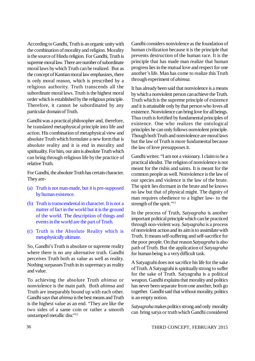According to Gandhi, Truth is an organic unity with the combination of morality and religion. Morality is the source of Hindu religion. For Gandhi, Truth is supreme moral law. There are number of subordinate moral laws by which Truth can be realized. But as the concept of Kantian moral law emphasizes, there is only moral reason, which is prescribed by a religious authority. Truth transcends all the subordinate moral laws. Truth is the highest moral order which is established by the religious principle. Therefore, it cannot be subordinated by any particular domain of Truth.

Gandhi was a practical philosopher and, therefore, he translated metaphysical principle into life and action. His combination of metaphysical view and absolute Truth which formulate a new form that is absolute reality and it is end in morality and spirituality. For him, our aim is absolute Truth which can bring through religious life by the practice of relative Truth.

For Gandhi, the absolute Truth has certain character. They are-

- (a) Truth is not man-made, but it is pre-supposed by human existence.
- (b) Truth is transcendental in character. It is not a matter of fact in the world but it is the ground of the world. The description of things and events in the world are the part of Truth.
- (c) Truth is the Absolute Reality which is metaphysically ultimate.

So, Gandhi's Truth is absolute or supreme reality where there is no any alternative truth. Gandhi perceives Truth both as value as well as reality. Nothing surpasses Truth in its supremacy as reality and value.

To achieving the absolute Truth *ahimsa* or nonviolence is the main path. Both *ahimsa* and Truth are inseparably bound up with each other. Gandhi says that *ahimsa* is the best means and Truth is the highest value as an end. "They are like the two sides of a same coin or rather a smooth unstamped metallic disc"<sup>12</sup>

Gandhi considers nonviolence as the foundation of human civilization because it is the principle that prevents destruction of the human race. It is the principle that has made man realize that human progress lies in the mutual love and respect for one another's life. Man has come to realize this Truth through experiment of *ahimsa*.

It has already been said that nonviolence is a means by which a nonviolent person can achieve the Truth. Truth which is the supreme principle of existence and it is attainable only by that person who loves all existence. Nonviolence can bring love for all beings. Thus truth is fortified by fundamental principles of existence. One who realizes the ontological principles he can only follows nonviolent principle. Though both Truth and nonviolence are moral laws but the law of Truth is more fundamental because the law of love presupposes it.

Gandhi writes: "I am not a visionary. I claim to be a practical idealist. The religion of nonviolence is not meant for the rishis and saints. It is meant for the common people as well. Nonviolence is the law of our species and violence is the law of the brute. The spirit lies dormant in the brute and he knows no law but that of physical might. The dignity of man requires obedience to a higher law- to the strength of the spirit."<sup>13</sup>

In the process of Truth, *Satyagraha* is another important political principle which can be practiced through non-violent way. *Satyagraha* is a process of nonviolent action and its aim is to assimilate with Truth. It means self-suffering and self-sacrifice for the poor people. On that reason *Satyagraha* is also path of Truth. But the application of *Satyagraha* for human being is a very difficult task.

A Satyagrahi does not sacrifice his life for the sake of Truth. A Satyagrahi is spiritually strong to suffer for the sake of Truth. Satyagraha is a political weapon. Gandhi explains that morality and politics has never been separate from one another, both go together. Gandhi said that without morality, politics is an empty notion.

*Satyagraha* makes politics strong and only morality can bring satya or truth which Gandhi considered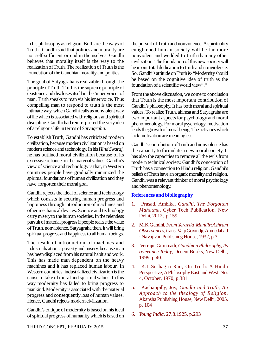in his philosophy as religion. Both are the ways of Truth. Gandhi said that politics and morality are not self-sufficient or end in themselves. Gandhi believes that morality itself is the way to the realization of Truth. The realization of Truth is the foundation of the Gandhian morality and politics.

The goal of Satyagraha is realizable through the principle of Truth. Truth is the supreme principle of existence and discloses itself in the 'inner voice' of man. Truth speaks to man via his inner voice. Thus compelling man to respond to truth is the most intimate way, which Gandhi calls as nonviolent way of life which is associated with religious and spiritual discipline. Gandhi had reinterpreted the very idea of a religious life in terms of *Satyagraha*.

To establish Truth, Gandhi has criticized modern civilization, because modern civilization is based on modern science and technology. In his *Hind Swaraj*, he has outlined moral civilization because of its excessive reliance on the material values. Gandhi's view of science and technology is that, in Western countries people have gradually minimized the spiritual foundations of human civilization and they have forgotten their moral goal.

Gandhi rejects the ideal of science and technology which consists in securing human progress and happiness through introduction of machines and other mechanical devices. Science and technology carry misery to the human societies. In the relentless pursuit of material progress if people realize the value of Truth, nonviolence, Satyagraha then, it will bring spiritual progress and happiness to all human beings.

The result of introduction of machines and industrialization is poverty and misery, because man has been displaced from his natural habit and work. This has made man dependent on the heavy machines and it has replaced human labour. In Western countries, industrialized civilization is the cause to take of moral and spiritual values. In this way modernity has failed to bring progress to mankind. Modernity is associated with the material progress and consequently loss of human values. Hence, Gandhi rejects modern civilization.

Gandhi's critique of modernity is based on his ideal of spiritual progress of humanity which is based on

the pursuit of Truth and nonviolence. A spirituality enlightened human society will be far more nonviolent and wedded to truth than any other civilization. The foundation of this new society will lie in our total dedication to truth and nonviolence. So, Gandhi's attitude on Truth is- "Modernity should be based on the cognitive idea of truth as the foundation of a scientific world view".<sup>14</sup>

From the above discussion, we come to conclusion that Truth is the most important contribution of Gandhi's philosophy. It has both moral and spiritual values. To realize Truth, ahimsa and Satyagraha are two important aspects for psychology and moral phenomenology. For moral psychology, motivation leads the growth of moral being. The activities which lack motivation are meaningless.

Gandhi's contribution of Truth and nonviolence has the capacity to formulate a new moral society. It has also the capacities to remove all the evils from modern technical society. Gandhi's conception of Truth has a connection to Hindu religion. Gandhi's beliefs of Truth have an organic morality and religion. Gandhi was a relevant thinker of moral psychology and phenomenology.

### **References and bibliography**

- 1. Prasad, Ambika, *Gandhi, The Forgotten Mahatma*, Cyber Tech Publication, New Delhi, 2012, p.159.
- 2. M.K.Gandhi, *From Yeravda Mandir:Ashram Observances*, trans. Valji Govindji, Ahmedabad : Navajivan Publishing House, 1932, p.3.
- 3. Verraju, Gummadi, *Gandhian Philosophy, Its relevance Today*, Decent Books, New Delhi, 1999, p.40.
- 4. K.L.Seshagiri Rao, On Truth: A Hindu Perspective, A Philosophy East and West, No. 4, October, 1970, p.381
- 5. Kachappilly, Joy, *Gandhi and Truth, An Approach to the theology of Religion*, Akansha Publishing House, New Delhi, 2005, p. 104
- *6. Young India*, 27.8.1925, p.293

THIRD CONCEPT, FEBRUARY 2015 37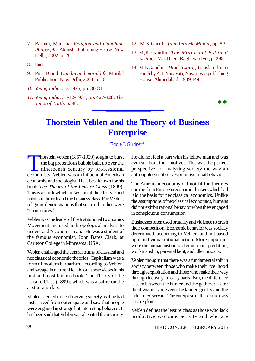- 7. Baruah, Manisha, *Religion and Gandhian Philosophy*, Akansha Publishing House, New Delhi, 2002, p. 26.
- 8. Ibid.
- 9. Puri, Binud, *Gandhi and moral life*, Motilal Publication, New Delhi, 2004, p. 26
- *10. Young India*, 5.3.1925, pp. 80-81.
- *11. Young India*, 31-12-1931, pp. 427-428, *The Voice of Truth*, p. 98.
- 12. M.K.Gandhi, *from Yeravda Maidir*, pp. 8-9.
- 13. M,K Gandhi, *The Moral and Political writings*, Vol. II, ed. Raghavan Iyer, p. 298.
- 14. M.KGandhi , *Hind Swaraj*, translated into Hindi by A.T Nanavati, Navarjivan publishing House, Ahmedabad, 1949, P.9

# $\blacklozenge \blacklozenge$

# **Thorstein Veblen and the Theory of Business Enterprise**

# Eddie J. Girdner\*

**Expanding Constant Concernsity** to burst the big pretentious bubble built up over the nineteenth century by professional economists. Veblen was an influential American horstein Veblen (1857-1929) sought to burst the big pretentious bubble built up over the nineteenth century by professional economist and sociologist. He is best known for his book *The Theory of the Leisure Class* (1899). This is a book which pokes fun at the lifestyle and habits of the rich and the business class. For Veblen, religious denominations that set up churches were "chain stores."

Veblen was the leader of the Institutional Economics Movement and used anthropological analysis to understand "economic man." He was a student of the famous economist, John Bates Clark, at Carleton College in Minnesota, USA.

Veblen challenged the central truths of classical and neoclassical economic theories. Capitalism was a form of modern barbarism, according to Veblen, and savage in nature. He laid out these views in his first and most famous book, The Theory of the Leisure Class (1899), which was a satire on the aristocratic class.

Veblen seemed to be observing society as if he had just arrived from outer space and saw that people were engaged in strange but interesting behavior. It has been said that Veblen was alienated from society. He did not feel a part with his fellow man and was cynical about their motives. This was the perfect perspective for analyzing society the way an anthropologist observes primitive tribal behavior.

The American economy did not fit the theories coming from European economic thinkers which had laid the basis for neoclassical economics. Unlike the assumptions of neoclassical economics, humans did not exhibit rational behavior when they engaged in conspicuous consumption.

Businesses often used brutality and violence to crush their competition. Economic behavior was socially determined, according to Veblen, and not based upon individual rational action. More important were the human instincts of emulation, predation, workmanship, parental bent, and idle curiosity.

Veblen thought that there was a fundamental split in society between those who make their livelihood through exploitation and those who make their way through industry. In early barbarism, the difference is seen between the hunter and the gatherer. Later the division is between the landed gentry and the indentured servant. The enterprise of the leisure class is to exploit.

Veblen defines the leisure class as those who lack productive economic activity and who are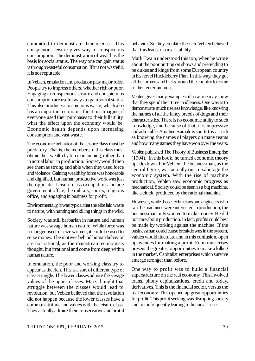committed to demonstrate their idleness. This conspicuous leisure gives way to conspicuous consumption. The demonstration of wealth is the basis for social status. The way one can gain status is through wasteful consumption. If it is not wasteful, it is not reputable.

In Veblen, emulation and predation play major roles. People try to impress others, whether rich or poor. Engaging in conspicuous leisure and conspicuous consumption are useful ways to gain social status. This also produces conspicuous waste, which also has an important economic function. Imagine, if everyone used their purchases to their full utility, what the effect upon the economy would be. Economic health depends upon increasing consumption and vast waste.

The economic behavior of the leisure class must be predatory. That is, the members of this class must obtain their wealth by force or cunning, rather than in actual labor in production. Society would then see them as strong and able when they used force and violence. Gaining wealth by force was honorable and dignified, but human productive work was just the opposite. Leisure class occupations include government office, the military, sports, religious office, and engaging in business for profit.

Environmentally, it was typical that the elite laid waste to nature, with hunting and killing things in the wild.

Society was still barbarian in nature and human nature was savage human nature. While force was no longer used to seize women, it could be used to seize money. The motives behind human behavior are not rational, as the mainstream economists thought, but irrational and come from deep within human nature.

In emulation, the poor and working class try to appear as the rich. This is a sort of different type of class struggle. The lower classes admire the savage values of the upper classes. Marx thought that struggle between the classes would lead to revolution, but Veblen believed that the revolution did not happen because the lower classes have a common attitude and values with the leisure class. They actually admire their conservative and brutal

behavior. So they emulate the rich. Veblen believed that this leads to social stability.

Mark Twain understood this too, when he wrote about the poor putting on shows and pretending to be dukes and kings from some European country in his novel Huckleberry Finn. In this way, they got all the farmers and hicks around the country to come to their entertainment.

Veblen gives many examples of how one may show that they spend their time in idleness. One way is to demonstrate much useless knowledge, like knowing the names of all the fancy breeds of dogs and their characteristics. There is no economic utility to such knowledge, and because of that, it is impressive and admirable. Another example is sports trivia, such as knowing the names of players on many teams and how many games they have won over the years.

Veblen published The Theory of Business Enterprise (1904). In this book, he turned economic theory upside down. For Veblen, the businessman, as the central figure, was actually out to sabotage the economic system. With the rise of machine production, Veblen saw economic progress as mechanical. Society could be seen as a big machine, like a clock, produced by the rational machine.

However, while those technicians and engineers who ran the machines were interested in production, the businessman only wanted to make money. He did not care about production. In fact, profits could best be made by working against the machine. If the businessman could cause breakdowns in the system, values would fluctuate and in this confusion, open up avenues for making a profit. Economic crises present the greatest opportunities to make a killing in the market. Capitalist enterprises which survive emerge stronger than before.

One way to profit was to build a financial superstructure on the real economy. This involved loans, phony capitalizations, credit and today, derivatives. This is the financial sector, versus the real economy. This opened up great opportunities for profit. This profit seeking was disrupting society and not infrequently leading to financial crises.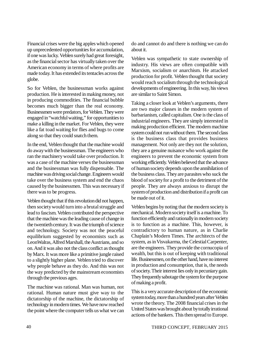Financial crises were the big apples which opened up unprecedented opportunities for accumulation, if one was lucky. Veblen surely had great foresight, as the financial sector has virtually taken over the American economy in terms of where profits are made today. It has extended its tentacles across the globe.

So for Veblen, the businessman works against production. He is interested in making money, not in producing commodities. The financial bubble becomes much bigger than the real economy. Businessmen were predators, for Veblen. They were engaged in "watchful waiting," for opportunities to make a killing in the market. For Veblen, they were like a fat toad waiting for flies and bugs to come along so that they could snatch them.

In the end, Veblen thought that the machine would do away with the businessman. The engineers who ran the machinery would take over production. It was a case of the machine verses the businessman and the businessman was fully dispensable. The machine was driving social change. Engineers would take over the business system and end the chaos caused by the businessmen. This was necessary if there was to be progress.

Veblen thought that if this revolution did not happen, then society would turn into a brutal struggle and lead to fascism. Veblen contributed the perspective that the machine was the leading cause of change in the twentieth century. It was the triumph of science and technology. Society was not the peaceful equilibrium suggested by economists such as LeonWalras, Alfred Marshall, the Austrians, and so on. And it was also not the class conflict as thought by Marx. It was more like a primitive jungle raised to a slightly higher plane. Veblen tried to discover why people behave as they do. And this was not the way predicted by the mainstream economists through the previous ages.

The machine was rational. Man was human, not rational. Human nature must give way to the dictatorship of the machine, the dictatorship of technology in modern times. We have now reached the point where the computer tells us what we can

do and cannot do and there is nothing we can do about it.

Veblen was sympathetic to state ownership of industry. His views are often compatible with Marxism, socialism or anarchism. He attacked production for profit. Veblen thought that society would reach socialism through the technological developments of engineering. In this way, his views are similar to Saint Simon.

Taking a closer look at Veblen's arguments, there are two major classes in the modern system of barbarianism, called capitalism. One is the class of industrial engineers. They are simply interested in making production efficient. The modern machine system could not run without them. The second class is the business class that provides business management. Not only are they not the solution, they are a genuine nuisance who work against the engineers to prevent the economic system from working efficiently. Veblen believed that the advance of human society depends upon the annihilation of the business class. They are parasites who suck the blood of society for a profit to the detriment of the people. They are always anxious to disrupt the system of production and distribution if a profit can be made out of it.

Veblen begins by noting that the modern society is mechanical. Modern society itself is a machine. To function efficiently and rationally in modern society is to function as a machine. This, however, is contradictory to human nature, as in Charlie Chaplain's Modern Times. The architects of the system, as in Visvakarma, the Celestial Carpenter, are the engineers. They provide the cornucopia of wealth, but this is out of keeping with traditional life. Businessmen, on the other hand, have no interest in production and consumption, that is, the needs of society. Their interest lies only in pecuniary gain. They frequently sabotage the system for the purpose of making a profit.

This is a very accurate description of the economic system today, more than a hundred years after Veblen wrote the theory. The 2008 financial crises in the United States was brought about by totally irrational actions of the bankers. This then spread to Europe.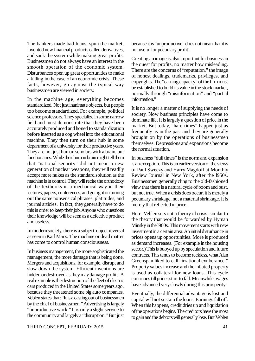The bankers made bad loans, spun the market, invented new financial products called derivatives, and sank the system while making great profits. Businessmen do not always have an interest in the smooth operation of the economic system. Disturbances open up great opportunities to make a killing in the case of an economic crisis. These facts, however, go against the typical way businessmen are viewed in society.

In the machine age, everything becomes standardized. Not just inanimate objects, but people too become standardized. For example, political science professors. They specialize in some narrow field and must demonstrate that they have been accurately produced and honed to standardization before inserted as a cog wheel into the educational machine. They then turn on their hub in some department of a university for their productive years. They are not just human scholars with a brain, but functionaries. While their human brain might tell them that "national security" did not mean a new generation of nuclear weapons, they will readily accept more nukes as the standard solution as the machine is in control. They will recite the orthodoxy of the textbooks in a mechanical way in their lectures, papers, conferences, and go right on turning out the same nonsensical phrases, platitudes, and journal articles. In fact, they generally have to do this in order to keep their job. Anyone who questions their knowledge will be seen as a defective product and useless.

In modern society, there is a subject-object reversal as seen in Karl Marx. The machine or dead matter has come to control human consciousness.

In business management, the more sophisticated the management, the more damage that is being done. Mergers and acquisitions, for example, disrupt and slow down the system. Efficient inventions are hidden or destroyed as they may damage profits. A real example is the destruction of the fleet of electric cars produced in the United States some years ago, because they threatened some big auto companies. Veblen states that: "It is a casting out of businessmen by the chief of businessmen." Advertising is largely "unproductive work." It is only a slight service to the community and largely a "disruption." But just

because it is "unproductive" does not mean that it is not useful for pecuniary profit.

Creating an image is also important for business in the quest for profits, no matter how misleading. There are the concerns of "reputation," the image of honest dealings, trademarks, privileges, and copyrights. The "earning capacity" of the firm must be established to build its value in the stock market, normally through "misinformation" and "partial information."

It is no longer a matter of supplying the needs of society. Now business principles have come to dominate life. It is largely a question of price in the market. But today, "hard times" happen just as frequently as in the past and they are generally brought on by the operations of businessmen themselves. Depressions and expansions become the normal situation.

In business "dull times" is the norm and expansion is an exception. This is an earlier version of the views of Paul Sweezy and Harry Magdoff at Monthly Review Journal in New York, after the l950s. Businessmen generally cling to the old-fashioned view that there is a natural cycle of boom and bust, but not true. When a crisis does occur, it is merely a pecuniary shrinkage, not a material shrinkage. It is merely that reflected in price.

Here, Veblen sets out a theory of crisis, similar to the theory that would be forwarded by Hyman Minsky in the l960s. This movement starts with new investment in a certain area. An initial disturbance in prices opens up opportunities. More is produced as demand increases. (For example in the housing sector.) This is buoyed up by speculation and future contracts. This tends to become reckless, what Alan Greenspan liked to call "irrational exuberance." Property values increase and the inflated property is used as collateral for new loans. This cycle continues till prices start to fall. Meanwhile, wages have advanced very slowly during this prosperity.

Eventually, the differential advantage is lost and capital will not sustain the loans. Earnings fall off. When this happens, credit dries up and liquidation of the operations begins. The creditors have the most to gain and the debtors will generally lose. But Veblen

#### THIRD CONCEPT, FEBRUARY 2015 41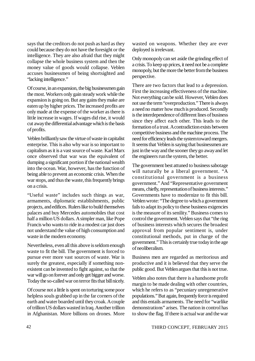says that the creditors do not push as hard as they could because they do not have the foresight or the intelligence. They are also afraid that they might collapse the whole business system and then the money value of goods would collapse. Veblen accuses businessmen of being shortsighted and "lacking intelligence."

Of course, in an expansion, the big businessmen gain the most. Workers only gain steady work while the expansion is going on. But any gains they make are eaten up by higher prices. The increased profits are only made at the expense of the worker as there is little increase in wages. If wages did rise, it would cut away the differential advantage which is the basis of profits.

Veblen brilliantly saw the virtue of waste in capitalist enterprise. This is also why war is so important to capitalism as it is a vast source of waste. Karl Marx once observed that war was the equivalent of dumping a significant portion if the national wealth into the ocean. War, however, has the function of being able to prevent an economic crisis. When the war stops, and thus the waste, this frequently brings on a crisis.

"Useful waste" includes such things as war, armaments, diplomatic establishments, public projects, and edifices. Rulers like to build themselves palaces and buy Mercedes automobiles that cost half a million US dollars. A simpler man, like Pope Francis who wants to ride in a modest car just does not understand the value of high consumption and waste in the modern economy.

Nevertheless, even all this above is seldom enough waste to fit the bill. The government is forced to pursue ever more vast sources of waste. War is surely the greatest, especially if something nonexistent can be invented to fight against, so that the war will go on forever and only get bigger and worse. Today the so-called war on terror fits that bill nicely.

Of course not a little is spent on torturing some poor helpless souls grabbed up in the far corners of the earth and water boarded until they croak. A couple of trillion US dollars wasted in Iraq. Another trillion in Afghanistan. More billions on drones. More

wasted on weapons. Whether they are ever deployed is irrelevant.

Only monopoly can set aside the grinding effect of a crisis. To keep up prices, it need not be a complete monopoly, but the more the better from the business perspective.

There are two factors that lead to a depression. First the increasing effectiveness of the machine. Not everything can be sold. However, Veblen does not use the term "overproduction." There is always a need no matter how much is produced. Secondly is the interdependence of different lines of business since they affect each other. This leads to the formation of a trust. A contradiction exists between competitive business and the machine process. The need for efficiency leads the system toward mergers. It seems that Veblen is saying that businessmen are just in the way and the sooner they go away and let the engineers run the system, the better.

The government best attuned to business sabotage will naturally be a liberal government. "A constitutional government is a business government." And "Representative government means, chiefly, representation of business interests." Governments have to modernize to fit this bill. Veblen wrote: "The degree to which a government fails to adapt its policy to these business exigencies is the measure of its senility." Business comes to control the government. Veblen says that "the ring of business interests which secures the broadest approval from popular sentiment is, under constitutional methods, put in charge of the government." This is certainly true today in the age of neoliberalism.

Business men are regarded as meritorious and productive and it is believed that they serve the public good. But Veblen argues that this is not true.

Veblen also notes that there is a handsome profit margin to be made dealing with other countries, which he refers to as "pecuniary unregenerative populations." But again, frequently force is required and this entails armaments. The need for "warlike demonstrations" arises. The nation in control has to show the flag. If there is actual war and the war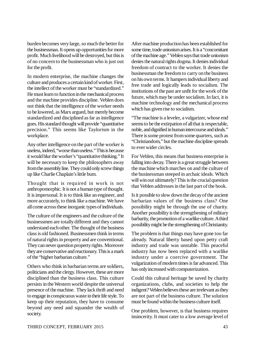burden becomes very large, so much the better for the businessman. It opens up opportunities for more profit. Much livelihood will be destroyed, but this is of no concern to the businessman who is just out for the profit.

In modern enterprise, the machine changes the culture and produces a certain kind of worker. First, the intellect of the worker must be "standardized." He must learn to function in the mechanical process and the machine provides discipline. Veblen does not think that the intelligence of the worker needs to be lowered, as Marx argued, but merely become standardized and disciplined as far as intelligence goes. His standard thought will provide "quantitative precision." This seems like Taylorism in the workplace.

Any other intelligence on the part of the worker is useless, indeed, "worse than useless." This is because it would blur the worker's "quantitative thinking." It will be necessary to keep the philosophers away from the assembly line. They could only screw things up like Charlie Chaplain's little bum.

Thought that is required in work is not anthropomorphic. It is not a human type of thought. It is impersonal. It is to think like an engineer, and more accurately, to think like a machine. We have all come across these inorganic types of individuals.

The culture of the engineers and the culture of the businessmen are totally different and they cannot understand each other. The thought of the business class is old fashioned. Businessmen think in terms of natural rights in property and are conventional. They can never question property rights. Moreover they are conservative and reactionary. This is a mark of the "higher barbarian culture."

Others who think in barbarian terms are soldiers, politicians and the clergy. However, these are more disciplined than the business class. This culture persists in the Western world despite the universal presence of the machine. They lack thrift and need to engage in conspicuous waste in their life style. To keep up their reputation, they have to consume beyond any need and squander the wealth of society.

After machine production has been established for some time, trade unionism arises. It is a "concomitant of the machine age." Veblen says that trade unionism denies the natural rights dogma. It denies individual freedom of contract to the worker. It denies the businessman the freedom to carry on the business on his own terms. It hampers individual liberty and free trade and logically leads to socialism. The institutions of the past are unfit for the work of the future, which may be under socialism. In fact, it is machine technology and the mechanical process which has given rise to socialism.

"The machine is a leveler, a vulgarizer, whose end seems to be the extirpation of all that is respectable, noble, and dignified in human intercourse and ideals." There is some protest from some quarters, such as "Christiandom," but the machine discipline spreads to ever wider circles.

For Veblen, this means that business enterprise is falling into decay. There is a great struggle between the machine which marches on and the culture of the businessman steeped in archaic ideals. Which will win out ultimately? This is the crucial question that Veblen addresses in the last part of the book.

Is it possible to slow down the decay of the ancient barbarian values of the business class? One possibility might be through the use of charity. Another possibility is the strengthening of military barbarity, the promotion of a warlike culture. A third possibility might be the strengthening of Christianity.

The problem is that things may have gone too far already. Natural liberty based upon petty craft industry and trade was unstable. This peaceful industry has now been replaced with a warlike industry under a coercive government. The vulgarization of modern times is far advanced. This has only increased with computerization.

Could this cultural heritage be saved by charity organizations, clubs, and societies to help the indigent? Veblen believes these are irrelevant as they are not part of the business culture. The solution must be found within the business culture itself.

One problem, however, is that business requires insincerity. It must cater to a low average level of

#### THIRD CONCEPT, FEBRUARY 2015 43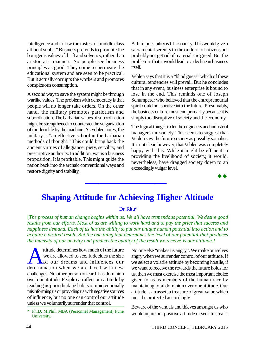intelligence and follow the tastes of "middle class affluent snobs." Business pretends to promote the bourgeois values of thrift and solvency, rather than aristocratic manners. So people see business principles as good. They come to permeate the educational system and are seen to be practical. But it actually corrupts the workers and promotes conspicuous consumption.

A second way to save the system might be through warlike values. The problem with democracy is that people will no longer take orders. On the other hand, the military promotes patriotism and subordination. The barbarian values of subordination might be strengthened to counteract the vulgarization of modern life by the machine. As Veblen notes, the military is "an effective school in the barbarian methods of thought." This could bring back the ancient virtues of allegiance, piety, servility, and prescriptive authority. In addition, war is a business proposition, It is profitable. This might guide the nation back into the archaic conventional ways and restore dignity and stability,

A third possibility is Christianity. This would give a sacramental serenity to the outlook of citizens but probably not get rid of materialistic greed. But the problem is that it would lead to a decline in business itself.

Veblen says that it is a "blind guess" which of these cultural tendencies will prevail. But he concludes that in any event, business enterprise is bound to lose in the end. This reminds one of Joseph Schumpeter who believed that the entrepreneurial spirit could not survive into the future. Presumably, the business culture must end primarily because it is simply too disruptive of society and the economy.

The logical thing is to let the engineers and industrial managers run society. This seems to suggest that Veblen saw the future society as possibly socialist. It is not clear, however, that Veblen was completely happy with this. While it might be efficient in providing the livelihood of society, it would, nevertheless, have dragged society down to an exceedingly vulgar level.



# **Shaping Attitude for Achieving Higher Altitude**

# Dr. Ritu\*

[*The process of human change begins within us. We all have tremendous potential. We desire good results from our efforts. Most of us are willing to work hard and to pay the price that success and happiness demand. Each of us has the ability to put our unique human potential into action and to acquire a desired result. But the one thing that determines the level of our potential-that produces the intensity of our activity and predicts the quality of the result we receive-is our attitude.]*

titude determines how much of the future<br>we are allowed to see. It decides the size<br>of our dreams and influences our<br>determination when we are faced with new ttitude determines how much of the future we are allowed to see. It decides the size of our dreams and influences our challenges. No other person on earth has dominion over our attitude. People can affect our attitude by teaching us poor thinking habits or unintentionally misinforming us or providing us with negative sources of influence, but no one can control our attitude unless we voluntarily surrender that control.

No one else "makes us angry". We make ourselves angry when we surrender control of our attitude. If we select a volatile attitude by becoming hostile, if we want to receive the rewards the future holds for us, then we must exercise the most important choice given to us as members of the human race by maintaining total dominion over our attitude. Our attitude is an asset, a treasure of great value which must be protected accordingly.

Beware of the vandals and thieves amongst us who would injure our positive attitude or seek to steal it

<sup>\*</sup> Ph.D, M.Phil, MBA (Personnel Management) Pune University.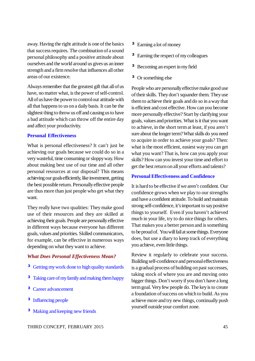away. Having the right attitude is one of the basics that success requires. The combination of a sound personal philosophy and a positive attitude about ourselves and the world around us gives us an inner strength and a firm resolve that influences all other areas of our existence.

Always remember that the greatest gift that all of us have, no matter what, is the power of self-control. All of us have the power to control our attitude with all that happens to us on a daily basis. It can be the slightest thing to throw us off and causing us to have a bad attitude which can throw off the entire day and affect your productivity.

### **Personal Effectiveness**

What is personal effectiveness? It can't just be achieving our goals because we could do so in a very wasteful, time consuming or sloppy way. How about making best use of our time and all other personal resources at our disposal? This means achieving our goals efficiently, like investment, getting the best possible return. Personally effective people are thus more than just people who get what they want.

They really have two qualities: They make good use of their resources and they are skilled at achieving their goals. People are personally effective in different ways because everyone has different goals, values and priorities. Skilled communicators, for example, can be effective in numerous ways depending on what they want to achieve.

### *What Does Personal Effectiveness Mean?*

- **³** Getting my work done to high quality standards
- **³** Taking care of my family and making them happy
- **³** Career advancement
- **³** Influencing people
- **³** Making and keeping new friends
- **³** Earning the respect of my colleagues
- **³** Becoming an expert in my field
- **³** Or something else

People who are personally effective make good use of their skills. They don't squander them. They use them to achieve their goals and do so in a way that is efficient and cost effective. How can you become more personally effective? Start by clarifying your goals, values and priorities. What is it that you want to achieve, in the short term at least, if you aren't sure about the longer term? What skills do you need to acquire in order to achieve your goals? Then: what is the most efficient, easiest way you can get what you want? That is, how can you apply your skills? How can you invest your time and effort to get the best return on all your efforts and talents?

# **Personal Effectiveness and Confidence**

It is hard to be effective if we aren't confident. Our confidence grows when we play to our strengths and have a confident attitude. To build and maintain strong self-confidence, it's important to say positive things to yourself. Even if you haven't achieved much in your life, try to do nice things for others. That makes you a better person and is something to be proud of. You will fail at some things. Everyone does, but use a diary to keep track of everything you achieve, even little things.

Review it regularly to celebrate your success. Building self-confidence and personal effectiveness is a gradual process of building on past successes, taking stock of where you are and moving onto bigger things. Don't worry if you don't have a long term goal. Very few people do. The key is to create a foundation of success on which to build. As you achieve more and try new things, continually push yourself outside your comfort zone.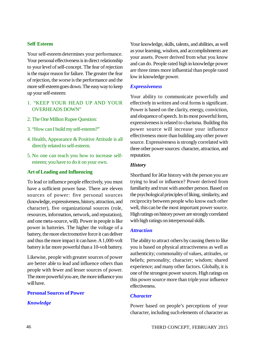### **Self Esteem**

Your self-esteem determines your performance. Your personal effectiveness is in direct relationship to your level of self-concept. The fear of rejection is the major reason for failure. The greater the fear of rejection, the worse is the performance and the more self-esteem goes down. The easy way to keep up your self-esteem:

# 1. "KEEP YOUR HEAD UP AND YOUR OVERHEADS DOWN"

- 2. The One Million Rupee Question:
- 3. "How can I build my self-esteem?"
- 4. Health, Appearance & Positive Attitude is all directly related to self-esteem.
- 5. No one can teach you how to increase selfesteem; you have to do it on your own.

# **Art of Leading and Influencing**

To lead or influence people effectively, you must have a sufficient power base. There are eleven sources of power: five personal sources (knowledge, expressiveness, history, attraction, and character), five organizational sources (role, resources, information, network, and reputation), and one meta-source, will). Power in people is like power in batteries. The higher the voltage of a battery, the more electromotive force it can deliver and thus the more impact it can have. A 1,000-volt battery is far more powerful than a 10-volt battery.

Likewise, people with greater sources of power are better able to lead and influence others than people with fewer and lesser sources of power. The more powerful you are, the more influence you will have.

### **Personal Sources of Power**

# *Knowledge*

Your knowledge, skills, talents, and abilities, as well as your learning, wisdom, and accomplishments are your assets. Power derived from what you know and can do. People rated high in knowledge power are three times more influential than people rated low in knowledge power.

### *Expressiveness*

Your ability to communicate powerfully and effectively in written and oral forms is significant. Power is based on the clarity, energy, conviction, and eloquence of speech. In its most powerful form, expressiveness is related to charisma. Building this power source will increase your influence effectiveness more than building any other power source. Expressiveness is strongly correlated with three other power sources: character, attraction, and reputation.

# *History*

Shorthand for  $\hat{a} \bigoplus$  history with the person you are trying to lead or influence? Power derived from familiarity and trust with another person. Based on the psychological principles of liking, similarity, and reciprocity between people who know each other well, this can be the most important power source. High ratings on history power are strongly correlated with high ratings on interpersonal skills.

### *Attraction*

The ability to attract others by causing them to like you is based on physical attractiveness as well as authenticity; commonality of values, attitudes, or beliefs; personality; character; wisdom; shared experience; and many other factors. Globally, it is one of the strongest power sources. High ratings on this power source more than triple your influence effectiveness.

# *Character*

Power based on people's perceptions of your character, including such elements of character as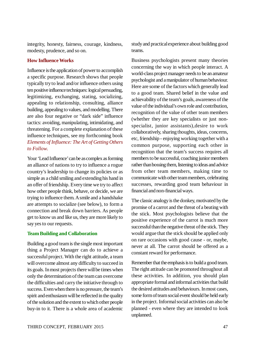integrity, honesty, fairness, courage, kindness, modesty, prudence, and so on.

# **How Influence Works**

Influence is the application of power to accomplish a specific purpose. Research shows that people typically try to lead and/or influence others using ten positive influence techniques: logical persuading, legitimizing, exchanging, stating, socializing, appealing to relationship, consulting, alliance building, appealing to values, and modelling. There are also four negative or "dark side" influence tactics: avoiding, manipulating, intimidating, and threatening. For a complete explanation of these influence techniques, see my forthcoming book *Elements of Influence: The Art of Getting Others to Follow*.

Your 'Lead Influence' can be as complex as forming an alliance of nations to try to influence a rogue country's leadership to change its policies or as simple as a child smiling and extending his hand in an offer of friendship. Every time we try to affect how other people think, behave, or decide, we are trying to influence them. A smile and a handshake are attempts to socialize (see below), to form a connection and break down barriers. As people get to know us and like us, they are more likely to say yes to our requests.

#### **Team Building and Collaboration**

Building a good team is the single most important thing a Project Manager can do to achieve a successful project. With the right attitude, a team will overcome almost any difficulty to succeed in its goals. In most projects there will be times when only the determination of the team can overcome the difficulties and carry the initiative through to success. Even when there is no pressure, the team's spirit and enthusiasm will be reflected in the quality of the solution and the extent to which other people buy-in to it. There is a whole area of academic

study and practical experience about building good teams.

Business psychologists present many theories concerning the way in which people interact. A world-class project manager needs to be an amateur psychologist and a manipulator of human behaviour. Here are some of the factors which generally lead to a good team. Shared belief in the value and achievability of the team's goals, awareness of the value of the individual's own role and contribution, recognition of the value of other team members (whether they are key specialists or just nonspecialist, junior assistants),desire to work collaboratively, sharing thoughts, ideas, concerns, etc, friendship - enjoying working together with a common purpose, supporting each other in recognition that the team's success requires all members to be successful, coaching junior members rather than bossing them, listening to ideas and advice from other team members, making time to communicate with other team members, celebrating successes, rewarding good team behaviour in financial and non-financial ways.

The classic analogy is the donkey, motivated by the promise of a carrot and the threat of a beating with the stick. Most psychologists believe that the positive experience of the carrot is much more successful than the negative threat of the stick. They would argue that the stick should be applied only on rare occasions with good cause - or, maybe, never at all. The carrot should be offered as a constant reward for performance.

Remember that the emphasis is to build a good team. The right attitude can be promoted throughout all these activities. In addition, you should plan appropriate formal and informal activities that build the desired attitudes and behaviours. In most cases, some form of team social event should be held early in the project. Informal social activities can also be planned - even where they are intended to look unplanned.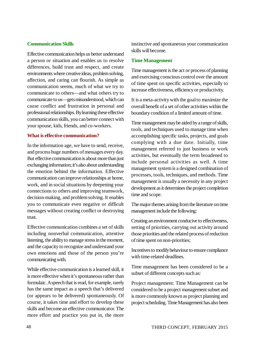### **Communication Skills**

Effective communication helps us better understand a person or situation and enables us to resolve differences, build trust and respect, and create environments where creative ideas, problem solving, affection, and caring can flourish. As simple as communication seems, much of what we try to communicate to others—and what others try to communicate to us—gets misunderstood, which can cause conflict and frustration in personal and professional relationships. By learning these effective communication skills, you can better connect with your spouse, kids, friends, and co-workers.

# **What is effective communication?**

In the information age, we have to send, receive, and process huge numbers of messages every day. But effective communication is about more than just exchanging information; it's also about understanding the emotion behind the information. Effective communication can improve relationships at home, work, and in social situations by deepening your connections to others and improving teamwork, decision-making, and problem solving. It enables you to communicate even negative or difficult messages without creating conflict or destroying trust.

Effective communication combines a set of skills including nonverbal communication, attentive listening, the ability to manage stress in the moment, and the capacity to recognize and understand your own emotions and those of the person you're communicating with.

While effective communication is a learned skill, it is more effective when it's spontaneous rather than formulaic. A speech that is read, for example, rarely has the same impact as a speech that's delivered (or appears to be delivered) spontaneously. Of course, it takes time and effort to develop these skills and become an effective communicator. The more effort and practice you put in, the more

instinctive and spontaneous your communication skills will become.

#### **Time Management**

Time management is the act or process of planning and exercising conscious control over the amount of time spent on specific activities, especially to increase effectiveness, efficiency or productivity.

It is a meta-activity with the goal to maximize the overall benefit of a set of other activities within the boundary condition of a limited amount of time.

Time management may be aided by a range of skills, tools, and techniques used to manage time when accomplishing specific tasks, projects, and goals complying with a due date. Initially, time management referred to just business or work activities, but eventually the term broadened to include personal activities as well. A time management system is a designed combination of processes, tools, techniques, and methods. Time management is usually a necessity in any project development as it determines the project completion time and scope.

The major themes arising from the literature on time management include the following:

Creating an environment conducive to effectiveness, setting of priorities, carrying out activity around those priorities and the related process of reduction of time spent on non-priorities;

Incentives to modify behaviour to ensure compliance with time-related deadlines.

Time management has been considered to be a subset of different concepts such as:

Project management: Time Management can be considered to be a project management subset and is more commonly known as project planning and project scheduling. Time Management has also been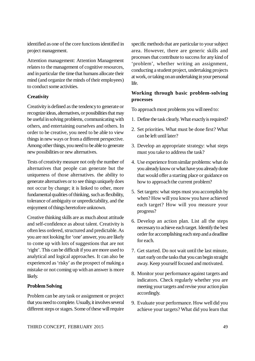identified as one of the core functions identified in project management.

Attention management: Attention Management relates to the management of cognitive resources, and in particular the time that humans allocate their mind (and organize the minds of their employees) to conduct some activities.

# **Creativity**

Creativity is defined as the tendency to generate or recognize ideas, alternatives, or possibilities that may be useful in solving problems, communicating with others, and entertaining ourselves and others. In order to be creative, you need to be able to view things in new ways or from a different perspective. Among other things, you need to be able to generate new possibilities or new alternatives.

Tests of creativity measure not only the number of alternatives that people can generate but the uniqueness of those alternatives. the ability to generate alternatives or to see things uniquely does not occur by change; it is linked to other, more fundamental qualities of thinking, such as flexibility, tolerance of ambiguity or unpredictability, and the enjoyment of things heretofore unknown.

Creative thinking skills are as much about attitude and self-confidence as about talent. Creativity is often less ordered, structured and predictable. As you are not looking for 'one' answer, you are likely to come up with lots of suggestions that are not 'right'. This can be difficult if you are more used to analytical and logical approaches. It can also be experienced as 'risky' as the prospect of making a mistake or not coming up with an answer is more likely.

# **Problem Solving**

Problem can be any task or assignment or project that you need to complete. Usually, it involves several different steps or stages. Some of these will require

specific methods that are particular to your subject area. However, there are generic skills and processes that contribute to success for any kind of 'problem', whether writing an assignment, conducting a student project, undertaking projects at work, or taking on an undertaking in your personal life.

# **Working through basic problem-solving processes**

To approach most problems you will need to:

- 1. Define the task clearly. What exactly is required?
- 2. Set priorities. What must be done first? What can be left until later?
- 3. Develop an appropriate strategy: what steps must you take to address the task?
- 4. Use experience from similar problems: what do you already know or what have you already done that would offer a starting place or guidance on how to approach the current problem?
- 5. Set targets: what steps must you accomplish by when? How will you know you have achieved each target? How will you measure your progress?
- 6. Develop an action plan. List all the steps necessary to achieve each target. Identify the best order for accomplishing each step and a deadline for each.
- 7. Get started. Do not wait until the last minute, start early on the tasks that you can begin straight away. Keep yourself focused and motivated.
- 8. Monitor your performance against targets and indicators. Check regularly whether you are meeting your targets and revise your action plan accordingly.
- 9. Evaluate your performance. How well did you achieve your targets? What did you learn that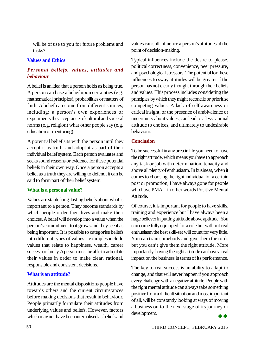will be of use to you for future problems and tasks?

#### **Values and Ethics**

# *Personal beliefs, values, attitudes and behaviour*

A belief is an idea that a person holds as being true. A person can base a belief upon certainties (e.g. mathematical principles), probabilities or matters of faith. A belief can come from different sources, including: a person's own experiences or experiments the acceptance of cultural and societal norms (e.g. religion) what other people say (e.g. education or mentoring).

A potential belief sits with the person until they accept it as truth, and adopt it as part of their individual belief system. Each person evaluates and seeks sound reasons or evidence for these potential beliefs in their own way. Once a person accepts a belief as a truth they are willing to defend, it can be said to form part of their belief system.

#### **What is a personal value?**

Values are stable long-lasting beliefs about what is important to a person. They become standards by which people order their lives and make their choices. A belief will develop into a value when the person's commitment to it grows and they see it as being important. It is possible to categorise beliefs into different types of values – examples include values that relate to happiness, wealth, career success or family. A person must be able to articulate their values in order to make clear, rational, responsible and consistent decisions.

#### **What is an attitude?**

Attitudes are the mental dispositions people have towards others and the current circumstances before making decisions that result in behaviour. People primarily formulate their attitudes from underlying values and beliefs. However, factors which may not have been internalised as beliefs and

values can still influence a person's attitudes at the point of decision-making.

Typical influences include the desire to please, political correctness, convenience, peer pressure, and psychological stressors. The potential for these influences to sway attitudes will be greater if the person has not clearly thought through their beliefs and values. This process includes considering the principles by which they might reconcile or prioritise competing values. A lack of self-awareness or critical insight, or the presence of ambivalence or uncertainty about values, can lead to a less rational attitude to choices, and ultimately to undesirable behaviour.

# **Conclusion**

To be successful in any area in life you need to have the right attitude, which means you have to approach any task or job with determination, tenacity and above all plenty of enthusiasm. In business, when it comes to choosing the right individual for a certain post or promotion, I have always gone for people who have PMA – in other words Positive Mental Attitude.

Of course, it is important for people to have skills, training and experience but I have always been a huge believer in putting attitude above aptitude. You can come fully equipped for a role but without real enthusiasm the best skill-set will count for very little. You can train somebody and give them the tools but you can't give them the right attitude. More importantly, having the right attitude can have a real impact on the business in terms of its performance.

The key to real success is an ability to adapt to change, and that will never happen if you approach every challenge with a negative attitude. People with the right mental attitude can always take something positive from a difficult situation and most important of all, will be constantly looking at ways of moving a business on to the next stage of its journey or development.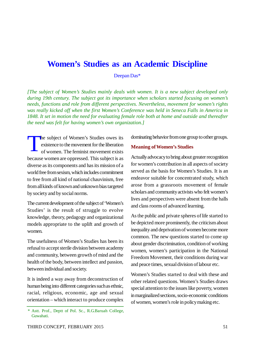# **Women's Studies as an Academic Discipline**

Deepan Das\*

*[The subject of Women's Studies mainly deals with women. It is a new subject developed only during 19th century. The subject got its importance when scholars started focusing on women's needs, functions and role from different perspectives. Nevertheless, movement for women's rights was really kicked off when the first Women's Conference was held in Seneca Falls in America in 1848. It set in motion the need for evaluating female role both at home and outside and thereafter the need was felt for having women's own organization.]*

T he subject of Women's Studies owes its existence to the movement for the liberation of women. The feminist movement exists because women are oppressed. This subject is as diverse as its components and has its mission of a world free from sexism, which includes commitment to free from all kind of national chauvinism, free from all kinds of known and unknown bias targeted by society and by social norms.

The current development of the subject of 'Women's Studies' is the result of struggle to evolve knowledge, theory, pedagogy and organizational models appropriate to the uplift and growth of women.

The usefulness of Women's Studies has been its refusal to accept sterile division between academy and community, between growth of mind and the health of the body, between intellect and passion, between individual and society.

It is indeed a way away from deconstruction of human being into different categories such as ethnic, racial, religious, economic, age and sexual orientation – which interact to produce complex dominating behavior from one group to other groups.

#### **Meaning of Women's Studies**

Actually advocacy to bring about greater recognition for women's contribution in all aspects of society served as the basis for Women's Studies. It is an endeavor suitable for concentrated study, which arose from a grassroots movement of female scholars and community activists who felt women's lives and perspectives were absent from the halls and class rooms of advanced learning.

As the public and private spheres of life started to be depicted more prominently, the criticism about inequality and deprivation of women become more common. The new questions started to come up about gender discrimination, condition of working women, women's participation in the National Freedom Movement, their conditions during war and peace times, sexual division of labour etc.

Women's Studies started to deal with these and other related questions. Women's Studies draws special attention to the issues like poverty, women in marginalized sections, socio-economic conditions of women, women's role in policy making etc.

<sup>\*</sup> Astt. Prof., Deptt of Pol. Sc., R.G.Baruah College, Guwahati.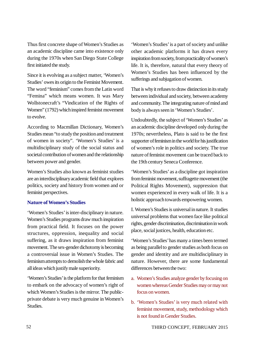Thus first concrete shape of Women's Studies as an academic discipline came into existence only during the 1970s when San Diego State College first initiated the study.

Since it is evolving as a subject matter, 'Women's Studies' owes its origin to the Feminist Movement. The word "feminism" comes from the Latin word "Femina" which means women. It was Mary Wollstonecraft's "Vindication of the Rights of Women" (1792) which inspired feminist movement to evolve.

According to Macmillan Dictionary, Women's Studies mean "to study the position and treatment of women in society". 'Women's Studies' is a multidisciplinary study of the social status and societal contribution of women and the relationship between power and gender.

Women's Studies also known as feminist studies are an interdisciplinary academic field that explores politics, society and history from women and or feminist perspectives.

# **Nature of Women's Studies**

'Women's Studies' is inter-disciplinary in nature. Women's Studies programs draw much inspiration from practical field. It focuses on the power structures, oppression, inequality and social suffering, as it draws inspiration from feminist movement. The sex-gender dichotomy is becoming a controversial issue in Women's Studies. The feminism attempts to demolish the whole fabric and all ideas which justify male superiority.

'Women's Studies' is the platform for that feminism to embark on the advocacy of women's right of which Women's Studies is the mirror. The publicprivate debate is very much genuine in Women's **Studies**.

'Women's Studies' is a part of society and unlike other academic platforms it has drawn every inspiration from society, from practicality of women's life. It is, therefore, natural that every theory of Women's Studies has been influenced by the sufferings and subjugation of women.

That is why it refuses to draw distinction in its study between individual and society, between academy and community. The integrating nature of mind and body is always seen in 'Women's Studies'.

Undoubtedly, the subject of 'Women's Studies' as an academic discipline developed only during the 1970s; nevertheless, Plato is said to be the first supporter of feminism in the world for his justification of women's role in politics and society. The true nature of feminist movement can be traced back to the 19th century Seneca Conference.

'Women's Studies' as a discipline got inspiration from feminist movement, suffragette movement (the Political Rights Movement), suppression that women experienced in every walk of life. It is a holistic approach towards empowering women.

I. Women's Studies is universal in nature. It studies universal problems that women face like political rights, gender discrimination, discrimination in work place, social justices, health, education etc.

'Women's Studies' has many a times been termed as being parallel to gender studies as both focus on gender and identity and are multidisciplinary in nature. However, there are some fundamental differences between the two:

- a. Women's Studies analyze gender by focusing on women whereas Gender Studies may or may not focus on women.
- b. 'Women's Studies' is very much related with feminist movement, study, methodology which is not found in Gender Studies.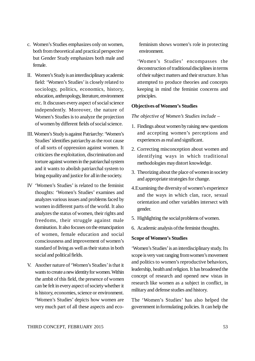- c. Women's Studies emphasizes only on women, both from theoretical and practical perspective but Gender Study emphasizes both male and female.
- II. Women's Study is an interdisciplinary academic field: 'Women's Studies' is closely related to sociology, politics, economics, history, education, anthropology, literature, environment etc. It discusses every aspect of social science independently. Moreover, the nature of Women's Studies is to analyze the projection of women by different fields of social science.
- III. Women's Study is against Patriarchy: 'Women's Studies' identifies patriarchy as the root cause of all sorts of oppression against women. It criticizes the exploitation, discrimination and torture against women in the patriarchal system and it wants to abolish patriarchal system to bring equality and justice for all in the society.
- IV 'Women's Studies' is related to the feminist thoughts: 'Women's Studies' examines and analyzes various issues and problems faced by women in different parts of the world. It also analyzes the status of women, their rights and freedoms, their struggle against male domination. It also focuses on the emancipation of women, female education and social consciousness and improvement of women's standard of living as well as their status in both social and political fields.
- V. Another nature of 'Women's Studies' is that it wants to create a new identity for women. Within the ambit of this field, the presence of women can be felt in every aspect of society whether it is history, economies, science or environment. 'Women's Studies' depicts how women are very much part of all these aspects and eco-

feminism shows women's role in protecting environment.

'Women's Studies' encompasses the deconstruction of traditional disciplines in terms of their subject matters and their structure. It has attempted to produce theories and concepts keeping in mind the feminist concerns and principles.

#### **Objectives of Women's Studies**

*The objective of Women's Studies include –*

- 1. Findings about women by raising new questions and accepting women's perceptions and experiences as real and significant.
- 2. Correcting misconception about women and identifying ways in which traditional methodologies may distort knowledge.
- 3. Theorizing about the place of women in society and appropriate strategies for change.
- 4.Examining the diversity of women's experience and the ways in which clan, race, sexual orientation and other variables intersect with gender.
- 5. Highlighting the social problems of women.
- 6. Academic analysis of the feminist thoughts.

#### **Scope of Women's Studies**

'Women's Studies' is an interdisciplinary study. Its scope is very vast ranging from women's movement and politics to women's reproductive behaviors, leadership, health and religion. It has broadened the concept of research and opened new vistas in research like women as a subject in conflict, in military and defense studies and history.

The 'Women's Studies' has also helped the government in formulating policies. It can help the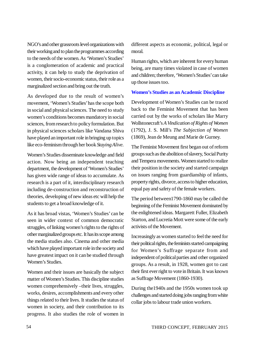NGO's and other grassroots level organizations with their working and to plan the programmes according to the needs of the women. As 'Women's Studies' is a conglomeration of academic and practical activity, it can help to study the deprivation of women, their socio-economic status, their role as a marginalized section and bring out the truth.

As developed due to the result of women's movement, 'Women's Studies' has the scope both in social and physical sciences. The need to study women's conditions becomes mandatory in social sciences, from research to policy formulation. But in physical sciences scholars like Vandana Shiva have played an important role in bringing up topics like eco-feminism through her book *Staying Alive*.

Women's Studies disseminate knowledge and field action. Now being an independent teaching department, the development of 'Women's Studies' has given wide range of ideas to accumulate. As research is a part of it, interdisciplinary research including de-construction and reconstruction of theories, developing of new ideas etc will help the students to get a broad knowledge of it.

As it has broad vistas, 'Women's Studies' can be seen in wider context of common democratic struggles, of linking women's rights to the rights of other marginalized groups etc. It has its scope among the media studies also. Cinema and other media which have played important role in the society and have greatest impact on it can be studied through Women's Studies.

Women and their issues are basically the subject matter of Women's Studies. This discipline studies women comprehensively –their lives, struggles, works, desires, accomplishments and every other things related to their lives. It studies the status of women in society, and their contribution to its progress. It also studies the role of women in

different aspects as economic, political, legal or moral.

Human rights, which are inherent for every human being, are many times violated in case of women and children; therefore, 'Women's Studies' can take up those issues too.

### **Women's Studies as an Academic Discipline**

Development of Women's Studies can be traced back to the Feminist Movement that has been carried out by the works of scholars like Marry Wollstonecraft's *A Vindication of Rights of Women* (1792), J. S. Mill's *The Subjection of Women* (1869), Jean de Meung and Marie de Gurney.

The Feminist Movement first began out of reform groups such as the abolition of slavery, Social Purity and Tempera movements. Women started to realize their position in the society and started campaign on issues ranging from guardianship of infants, property rights, divorce, access to higher education, equal pay and safety of the female workers.

The period between1790-1860 may be called the beginning of the Feminist Movement dominated by the enlightened ideas. Margarett Fuller, Elizabeth Starton, and Lucretia Mott were some of the early activists of the Movement.

Increasingly as women started to feel the need for their political rights, the feminists started campaigning for Women's Suffrage separate from and independent of political parties and other organized groups. As a result, in 1928, women got to cast their first ever right to vote in Britain. It was known as Suffrage Movement (1860-1930).

During the1940s and the 1950s women took up challenges and started doing jobs ranging from white collar jobs to labour trade union workers.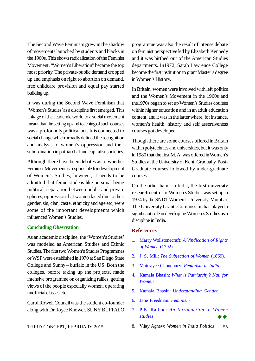The Second Wave Feminism grew in the shadow of movements launched by students and blacks in the 1960s. This shows radicalization of the Feminist Movement. "Women's Liberation" became the top most priority. The private-public demand cropped up and emphasis on right to abortion on demand, free childcare provision and equal pay started building up.

It was during the Second Wave Feminism that 'Women's Studies' as a discipline first emerged. This linkage of the academic world to a social movement meant that the setting up and teaching of such courses was a profoundly political act. It is connected to social change which broadly defined the recognition and analysis of women's oppression and their subordination in patriarchal and capitalist societies.

Although there have been debates as to whether Feminist Movement is responsible for development of Women's Studies; however, it needs to be admitted that feminist ideas like personal being political, separation between public and private spheres, oppression that women faced due to their gender, sin, clan, caste, ethnicity and age etc, were some of the important developments which influenced Women's Studies.

#### **Concluding Observation**

As an academic discipline, the 'Women's Studies' was modeled as American Studies and Ethnic Studies. The first two Women's Studies Programmes or WSP were established in 1970 at San Diego State College and Sunny – buffalo in the US. Both the colleges, before taking up the projects, made intensive programme on organizing rallies, getting views of the people especially women, operating unofficial classes etc.

Carol Rowell Council was the student co-founder along with Dr. Joyce Knower. SUNY BUFFALO

programme was also the result of intense debate on feminist perspective led by Elizabeth Kennedy and it was birthed out of the American Studies departments. In1972, Sarah Lawrence College become the first institution to grant Master's degree in Women's History.

In Britain, women were involved with left politics and the Women's Movement in the 1960s and the1970s began to set up Women's Studies courses within higher education and in an adult education content, and it was in the latter where, for instance, women's health, history and self assertiveness courses got developed.

Though there are some courses offered in Britain within polytechnics and universities, but it was only in 1980 that the first M. A. was offered in Women's Studies at the University of Kent. Gradually, Post-Graduate courses followed by under-graduate courses.

On the other hand, in India, the first university research centre for Women's Studies was set up in 1974 by the SNDT Women's University, Mumbai. The University Grants Commission has played a significant role in developing Women's Studies as a discipline in India.

#### **References**

- 1. Marry Wollstonecraft: *A Vindication of Rights of Women* (1792)
- 2. J. S. Mill: *The Subjection of Women* (1869).
- 3. Maitrayee Choudhury: *Feminism in India*
- 4. Kamala Bhasin: *What is Patriarchy? Kali for Women*
- 5. Kamala Bhasin: *Understanding Gender*
- 6. Jane Freedman: *Feminism*
- $\blacklozenge \blacklozenge$ 7. P.B. Rathod: *An Introduction to Women studies*
- THIRD CONCEPT, FEBRUARY 2015 8. Vijay Agnew: Women in India Politics 55 8. Vijay Agnew: *Women in India Politics*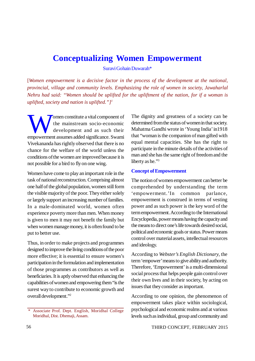# **Conceptualizing Women Empowerment**

Suravi Gohain Duwarah\*

[*Women empowerment is a decisive factor in the process of the development at the national, provincial, village and community levels. Emphasizing the role of women in society, Jawaharlal Nehru had said: "Women should be uplifted for the upliftment of the nation, for if a woman is uplifted, society and nation is uplifted."]<sup>1</sup>*

W omen constitute a vital component of<br>the mainstream socio-economic<br>development and as such their<br>empowerment assumes added significance. Swami omen constitute a vital component of the mainstream socio-economic development and as such their Vivekananda has rightly observed that there is no chance for the welfare of the world unless the conditions of the women are improved because it is not possible for a bird to fly on one wing.

Women have come to play an important role in the task of national reconstruction. Comprising almost one half of the global population, women still form the visible majority of the poor. They either solely or largely support an increasing number of families. In a male-dominated world, women often experience poverty more than men. When money is given to men it may not benefit the family but when women manage money, it is often found to be put to better use.

Thus, in order to make projects and programmes designed to improve the living conditions of the poor more effective; it is essential to ensure women's participation in the formulation and implementation of those programmes as contributors as well as beneficiaries. It is aptly observed that enhancing the capabilities of women and empowering them "is the surest way to contribute to economic growth and overall development."<sup>2</sup>

The dignity and greatness of a society can be determined from the status of women in that society. Mahatma Gandhi wrote in 'Young India' in1918 that "woman is the companion of man gifted with equal mental capacities. She has the right to participate in the minute details of the activities of man and she has the same right of freedom and the liberty as he."<sup>3</sup>

#### **Concept of Empowerment**

The notion of women empowerment can better be comprehended by understanding the term 'empowerment.'In common parlance, empowerment is construed in terms of vesting power and as such power is the key word of the term empowerment. According to the International Encyclopedia, power means having the capacity and the means to direct one's life towards desired social, political and economic goals or status. Power means control over material assets, intellectual resources and ideology.

According to *Webster's English Dictionary*, the term 'empower' means to give ability and authority. Therefore, 'Empowerment' is a multi-dimensional social process that helps people gain control over their own lives and in their society, by acting on issues that they consider as important.

According to one opinion, the phenomenon of empowerment takes place within sociological, psychological and economic realms and at various levels such as individual, group and community and

<sup>\*</sup> Associate Prof. Dept. English, Moridhal College Moridhal, Dist. Dhemaji, Assam.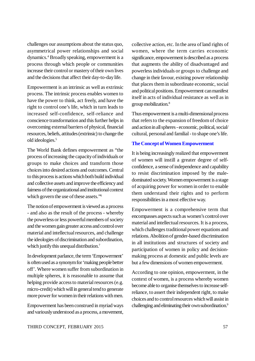challenges our assumptions about the status quo, asymmetrical power relationships and social dynamics.<sup>4</sup> Broadly speaking, empowerment is a process through which people or communities increase their control or mastery of their own lives and the decisions that affect their day-to-day life.

Empowerment is an intrinsic as well as extrinsic process. The intrinsic process enables women to have the power to think, act freely, and have the right to control one's life, which in turn leads to increased self-confidence, self-reliance and conscience transformation and this further helps in overcoming external barriers of physical, financial resources, beliefs, attitudes (extrinsic) to change the old ideologies.<sup>5</sup>

The World Bank defines empowerment as "the process of increasing the capacity of individuals or groups to make choices and transform those choices into desired actions and outcomes. Central to this process is actions which both build individual and collective assets and improve the efficiency and fairness of the organizational and institutional context which govern the use of these assets."<sup>6</sup>

The notion of empowerment is viewed as a process - and also as the result of the process - whereby the powerless or less powerful members of society and the women gain greater access and control over material and intellectual resources, and challenge the ideologies of discrimination and subordination, which justify this unequal distribution.<sup>7</sup>

In development parlance, the term 'Empowerment' is often used as a synonym for 'making people better off'. Where women suffer from subordination in multiple spheres, it is reasonable to assume that helping provide access to material resources (e.g. micro-credit) which will in general tend to generate more power for women in their relations with men.

Empowerment has been construed in myriad ways and variously understood as a process, a movement, collective action, etc. In the area of land rights of women, where the term carries economic significance, empowerment is described as a process that augments the ability of disadvantaged and powerless individuals or groups to challenge and change in their favour, existing power relationship that places them in subordinate economic, social and political positions. Empowerment can manifest itself in acts of individual resistance as well as in group mobilization.<sup>8</sup>

Thus empowerment is a multi-dimensional process that refers to the expansion of freedom of choice and action in all spheres - economic, political, social/ cultural, personal and familial - to shape one's life.

#### **The Concept of Women Empowerment**

It is being increasingly realized that empowerment of women will instill a greater degree of selfconfidence, a sense of independence and capability to resist discrimination imposed by the maledominated society. Women empowerment is a stage of acquiring power for women in order to enable them understand their rights and to perform responsibilities in a most effective way.

Empowerment is a comprehensive term that encompasses aspects such as women's control over material and intellectual resources. It is a process, which challenges traditional power equations and relations. Abolition of gender-based discrimination in all institutions and structures of society and participation of women in policy and decisionmaking process at domestic and public levels are but a few dimensions of women empowerment.

According to one opinion, empowerment, in the context of women, is a process whereby women become able to organise themselves to increase selfreliance, to assert their independent right, to make choices and to control resources which will assist in challenging and eliminating their own subordination.<sup>9</sup>